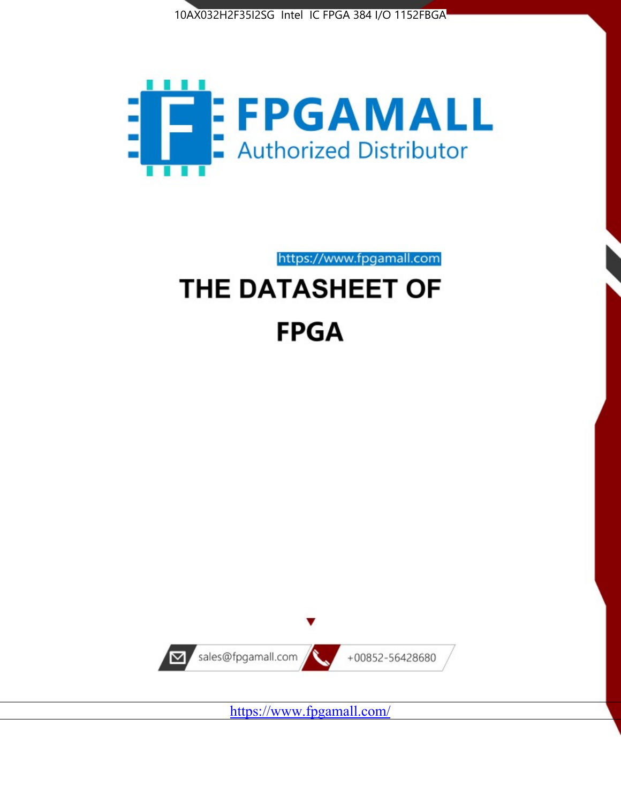



https://www.fpgamall.com THE DATASHEET OF

# **FPGA**



<https://www.fpgamall.com/>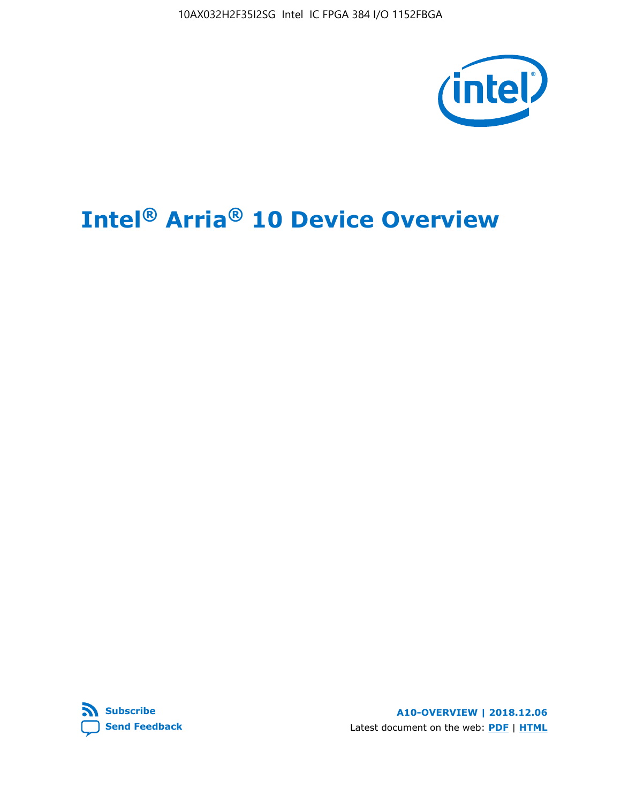

# **Intel® Arria® 10 Device Overview**



**A10-OVERVIEW | 2018.12.06** Latest document on the web: **[PDF](https://www.intel.com/content/dam/www/programmable/us/en/pdfs/literature/hb/arria-10/a10_overview.pdf)** | **[HTML](https://www.intel.com/content/www/us/en/programmable/documentation/sam1403480274650.html)**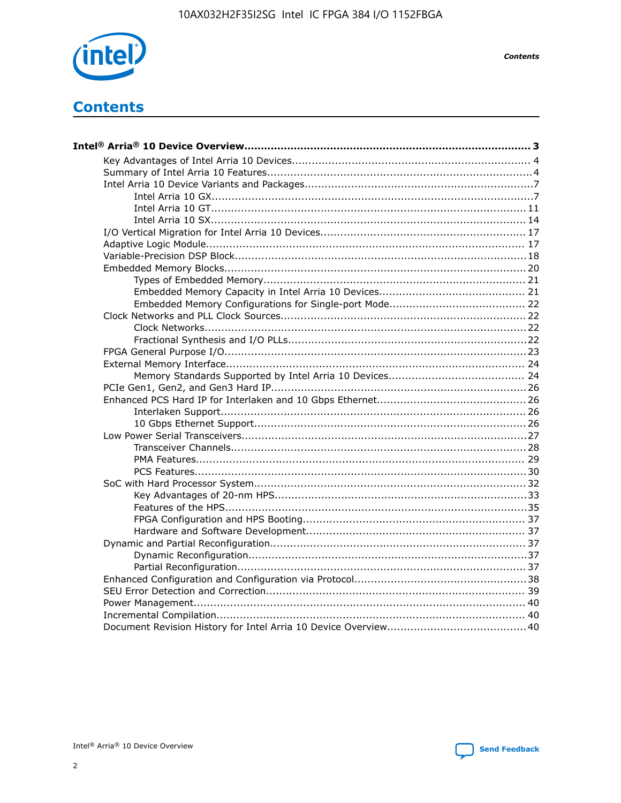

**Contents** 

# **Contents**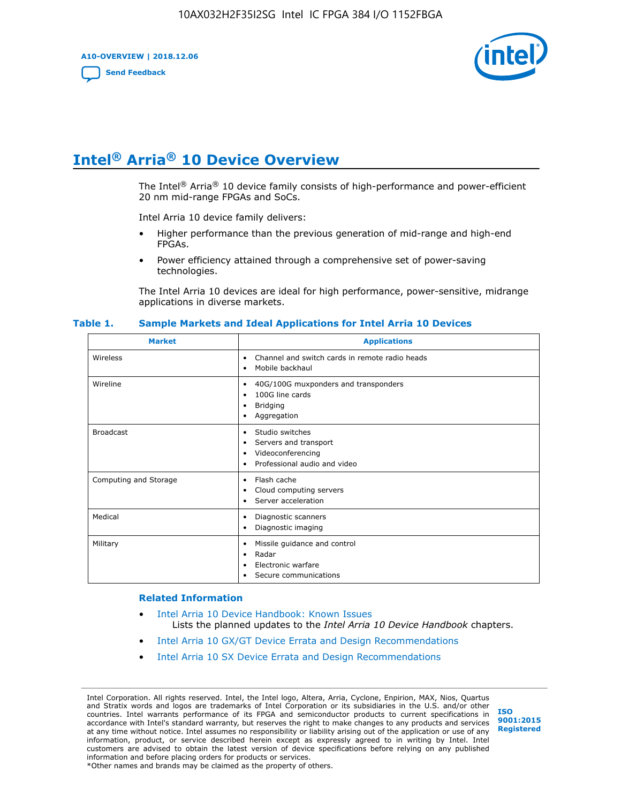**A10-OVERVIEW | 2018.12.06**

**[Send Feedback](mailto:FPGAtechdocfeedback@intel.com?subject=Feedback%20on%20Intel%20Arria%2010%20Device%20Overview%20(A10-OVERVIEW%202018.12.06)&body=We%20appreciate%20your%20feedback.%20In%20your%20comments,%20also%20specify%20the%20page%20number%20or%20paragraph.%20Thank%20you.)**



# **Intel® Arria® 10 Device Overview**

The Intel<sup>®</sup> Arria<sup>®</sup> 10 device family consists of high-performance and power-efficient 20 nm mid-range FPGAs and SoCs.

Intel Arria 10 device family delivers:

- Higher performance than the previous generation of mid-range and high-end FPGAs.
- Power efficiency attained through a comprehensive set of power-saving technologies.

The Intel Arria 10 devices are ideal for high performance, power-sensitive, midrange applications in diverse markets.

| <b>Market</b>         | <b>Applications</b>                                                                                               |
|-----------------------|-------------------------------------------------------------------------------------------------------------------|
| Wireless              | Channel and switch cards in remote radio heads<br>٠<br>Mobile backhaul<br>٠                                       |
| Wireline              | 40G/100G muxponders and transponders<br>٠<br>100G line cards<br>٠<br><b>Bridging</b><br>٠<br>Aggregation<br>٠     |
| <b>Broadcast</b>      | Studio switches<br>٠<br>Servers and transport<br>٠<br>Videoconferencing<br>٠<br>Professional audio and video<br>٠ |
| Computing and Storage | Flash cache<br>٠<br>Cloud computing servers<br>٠<br>Server acceleration<br>٠                                      |
| Medical               | Diagnostic scanners<br>٠<br>Diagnostic imaging<br>٠                                                               |
| Military              | Missile guidance and control<br>٠<br>Radar<br>٠<br>Electronic warfare<br>٠<br>Secure communications<br>٠          |

#### **Table 1. Sample Markets and Ideal Applications for Intel Arria 10 Devices**

#### **Related Information**

- [Intel Arria 10 Device Handbook: Known Issues](http://www.altera.com/support/kdb/solutions/rd07302013_646.html) Lists the planned updates to the *Intel Arria 10 Device Handbook* chapters.
- [Intel Arria 10 GX/GT Device Errata and Design Recommendations](https://www.intel.com/content/www/us/en/programmable/documentation/agz1493851706374.html#yqz1494433888646)
- [Intel Arria 10 SX Device Errata and Design Recommendations](https://www.intel.com/content/www/us/en/programmable/documentation/cru1462832385668.html#cru1462832558642)

Intel Corporation. All rights reserved. Intel, the Intel logo, Altera, Arria, Cyclone, Enpirion, MAX, Nios, Quartus and Stratix words and logos are trademarks of Intel Corporation or its subsidiaries in the U.S. and/or other countries. Intel warrants performance of its FPGA and semiconductor products to current specifications in accordance with Intel's standard warranty, but reserves the right to make changes to any products and services at any time without notice. Intel assumes no responsibility or liability arising out of the application or use of any information, product, or service described herein except as expressly agreed to in writing by Intel. Intel customers are advised to obtain the latest version of device specifications before relying on any published information and before placing orders for products or services. \*Other names and brands may be claimed as the property of others.

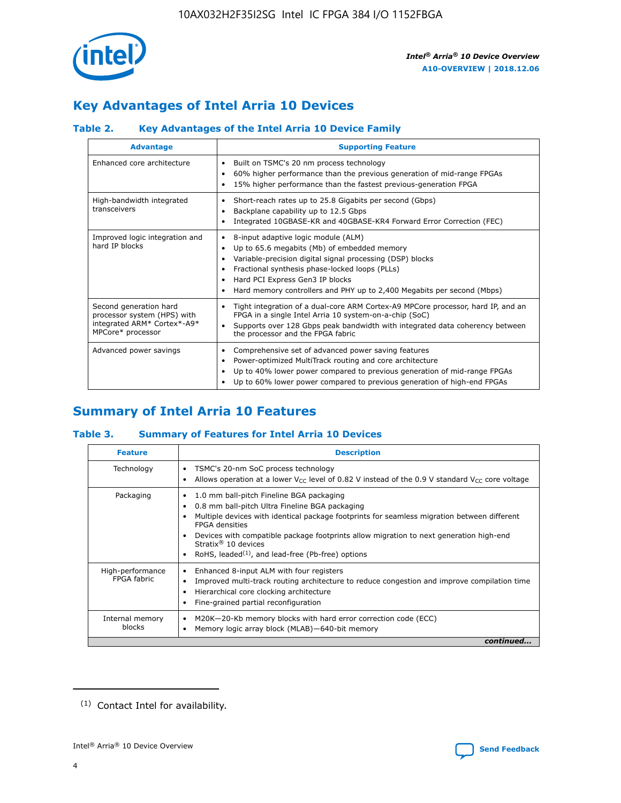

# **Key Advantages of Intel Arria 10 Devices**

## **Table 2. Key Advantages of the Intel Arria 10 Device Family**

| <b>Advantage</b>                                                                                          | <b>Supporting Feature</b>                                                                                                                                                                                                                                                                                                |  |  |  |  |  |
|-----------------------------------------------------------------------------------------------------------|--------------------------------------------------------------------------------------------------------------------------------------------------------------------------------------------------------------------------------------------------------------------------------------------------------------------------|--|--|--|--|--|
| Enhanced core architecture                                                                                | Built on TSMC's 20 nm process technology<br>٠<br>60% higher performance than the previous generation of mid-range FPGAs<br>٠<br>15% higher performance than the fastest previous-generation FPGA<br>٠                                                                                                                    |  |  |  |  |  |
| High-bandwidth integrated<br>transceivers                                                                 | Short-reach rates up to 25.8 Gigabits per second (Gbps)<br>٠<br>Backplane capability up to 12.5 Gbps<br>٠<br>Integrated 10GBASE-KR and 40GBASE-KR4 Forward Error Correction (FEC)<br>٠                                                                                                                                   |  |  |  |  |  |
| Improved logic integration and<br>hard IP blocks                                                          | 8-input adaptive logic module (ALM)<br>٠<br>Up to 65.6 megabits (Mb) of embedded memory<br>٠<br>Variable-precision digital signal processing (DSP) blocks<br>Fractional synthesis phase-locked loops (PLLs)<br>Hard PCI Express Gen3 IP blocks<br>Hard memory controllers and PHY up to 2,400 Megabits per second (Mbps) |  |  |  |  |  |
| Second generation hard<br>processor system (HPS) with<br>integrated ARM* Cortex*-A9*<br>MPCore* processor | Tight integration of a dual-core ARM Cortex-A9 MPCore processor, hard IP, and an<br>٠<br>FPGA in a single Intel Arria 10 system-on-a-chip (SoC)<br>Supports over 128 Gbps peak bandwidth with integrated data coherency between<br>$\bullet$<br>the processor and the FPGA fabric                                        |  |  |  |  |  |
| Advanced power savings                                                                                    | Comprehensive set of advanced power saving features<br>٠<br>Power-optimized MultiTrack routing and core architecture<br>٠<br>Up to 40% lower power compared to previous generation of mid-range FPGAs<br>٠<br>Up to 60% lower power compared to previous generation of high-end FPGAs                                    |  |  |  |  |  |

# **Summary of Intel Arria 10 Features**

## **Table 3. Summary of Features for Intel Arria 10 Devices**

| <b>Feature</b>                  | <b>Description</b>                                                                                                                                                                                                                                                                                                                                                                                 |
|---------------------------------|----------------------------------------------------------------------------------------------------------------------------------------------------------------------------------------------------------------------------------------------------------------------------------------------------------------------------------------------------------------------------------------------------|
| Technology                      | TSMC's 20-nm SoC process technology<br>Allows operation at a lower $V_{\text{CC}}$ level of 0.82 V instead of the 0.9 V standard $V_{\text{CC}}$ core voltage                                                                                                                                                                                                                                      |
| Packaging                       | 1.0 mm ball-pitch Fineline BGA packaging<br>٠<br>0.8 mm ball-pitch Ultra Fineline BGA packaging<br>Multiple devices with identical package footprints for seamless migration between different<br><b>FPGA</b> densities<br>Devices with compatible package footprints allow migration to next generation high-end<br>Stratix $@10$ devices<br>RoHS, leaded $(1)$ , and lead-free (Pb-free) options |
| High-performance<br>FPGA fabric | Enhanced 8-input ALM with four registers<br>Improved multi-track routing architecture to reduce congestion and improve compilation time<br>Hierarchical core clocking architecture<br>Fine-grained partial reconfiguration                                                                                                                                                                         |
| Internal memory<br>blocks       | M20K-20-Kb memory blocks with hard error correction code (ECC)<br>Memory logic array block (MLAB)-640-bit memory                                                                                                                                                                                                                                                                                   |
|                                 | continued                                                                                                                                                                                                                                                                                                                                                                                          |



<sup>(1)</sup> Contact Intel for availability.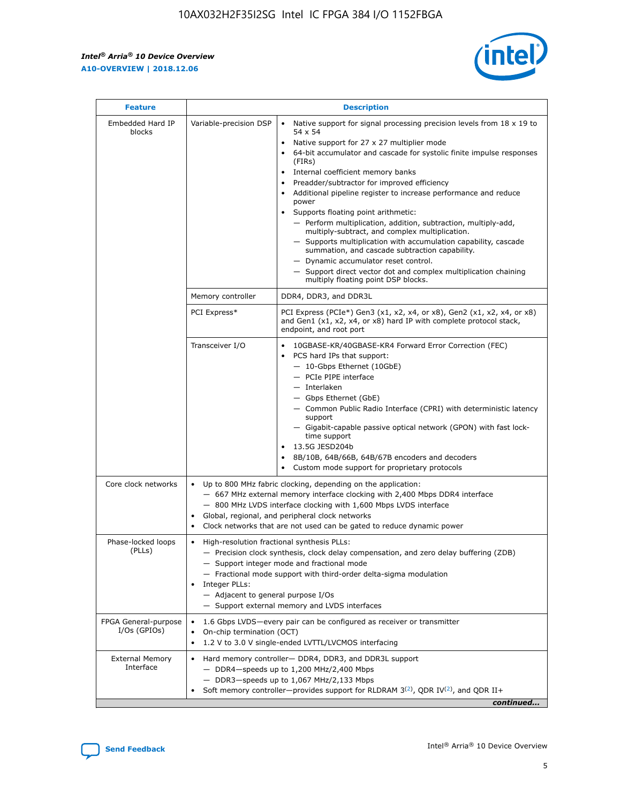r



| <b>Feature</b>                         |                                                                                                                | <b>Description</b>                                                                                                                                                                                                                                                                                                                                                                                                                                                                                                                                                                                                                                                                                                                                                                                                                                               |  |  |  |  |  |  |
|----------------------------------------|----------------------------------------------------------------------------------------------------------------|------------------------------------------------------------------------------------------------------------------------------------------------------------------------------------------------------------------------------------------------------------------------------------------------------------------------------------------------------------------------------------------------------------------------------------------------------------------------------------------------------------------------------------------------------------------------------------------------------------------------------------------------------------------------------------------------------------------------------------------------------------------------------------------------------------------------------------------------------------------|--|--|--|--|--|--|
| Embedded Hard IP<br>blocks             | Variable-precision DSP                                                                                         | Native support for signal processing precision levels from $18 \times 19$ to<br>$\bullet$<br>54 x 54<br>Native support for 27 x 27 multiplier mode<br>$\bullet$<br>64-bit accumulator and cascade for systolic finite impulse responses<br>(FIRs)<br>Internal coefficient memory banks<br>$\bullet$<br>Preadder/subtractor for improved efficiency<br>Additional pipeline register to increase performance and reduce<br>power<br>Supports floating point arithmetic:<br>- Perform multiplication, addition, subtraction, multiply-add,<br>multiply-subtract, and complex multiplication.<br>- Supports multiplication with accumulation capability, cascade<br>summation, and cascade subtraction capability.<br>- Dynamic accumulator reset control.<br>- Support direct vector dot and complex multiplication chaining<br>multiply floating point DSP blocks. |  |  |  |  |  |  |
|                                        | Memory controller                                                                                              | DDR4, DDR3, and DDR3L                                                                                                                                                                                                                                                                                                                                                                                                                                                                                                                                                                                                                                                                                                                                                                                                                                            |  |  |  |  |  |  |
|                                        | PCI Express*                                                                                                   | PCI Express (PCIe*) Gen3 (x1, x2, x4, or x8), Gen2 (x1, x2, x4, or x8)<br>and Gen1 (x1, x2, x4, or x8) hard IP with complete protocol stack,<br>endpoint, and root port                                                                                                                                                                                                                                                                                                                                                                                                                                                                                                                                                                                                                                                                                          |  |  |  |  |  |  |
|                                        | Transceiver I/O                                                                                                | 10GBASE-KR/40GBASE-KR4 Forward Error Correction (FEC)<br>PCS hard IPs that support:<br>- 10-Gbps Ethernet (10GbE)<br>- PCIe PIPE interface<br>- Interlaken<br>- Gbps Ethernet (GbE)<br>- Common Public Radio Interface (CPRI) with deterministic latency<br>support<br>- Gigabit-capable passive optical network (GPON) with fast lock-<br>time support<br>13.5G JESD204b<br>$\bullet$<br>8B/10B, 64B/66B, 64B/67B encoders and decoders<br>Custom mode support for proprietary protocols                                                                                                                                                                                                                                                                                                                                                                        |  |  |  |  |  |  |
| Core clock networks                    | $\bullet$                                                                                                      | Up to 800 MHz fabric clocking, depending on the application:<br>- 667 MHz external memory interface clocking with 2,400 Mbps DDR4 interface<br>- 800 MHz LVDS interface clocking with 1,600 Mbps LVDS interface<br>Global, regional, and peripheral clock networks<br>Clock networks that are not used can be gated to reduce dynamic power                                                                                                                                                                                                                                                                                                                                                                                                                                                                                                                      |  |  |  |  |  |  |
| Phase-locked loops<br>(PLLs)           | High-resolution fractional synthesis PLLs:<br>$\bullet$<br>Integer PLLs:<br>- Adjacent to general purpose I/Os | - Precision clock synthesis, clock delay compensation, and zero delay buffering (ZDB)<br>- Support integer mode and fractional mode<br>- Fractional mode support with third-order delta-sigma modulation<br>- Support external memory and LVDS interfaces                                                                                                                                                                                                                                                                                                                                                                                                                                                                                                                                                                                                        |  |  |  |  |  |  |
| FPGA General-purpose<br>$I/Os$ (GPIOs) | On-chip termination (OCT)<br>٠<br>$\bullet$                                                                    | 1.6 Gbps LVDS-every pair can be configured as receiver or transmitter<br>1.2 V to 3.0 V single-ended LVTTL/LVCMOS interfacing                                                                                                                                                                                                                                                                                                                                                                                                                                                                                                                                                                                                                                                                                                                                    |  |  |  |  |  |  |
| <b>External Memory</b><br>Interface    | $\bullet$                                                                                                      | Hard memory controller- DDR4, DDR3, and DDR3L support<br>$-$ DDR4-speeds up to 1,200 MHz/2,400 Mbps<br>- DDR3-speeds up to 1,067 MHz/2,133 Mbps<br>Soft memory controller—provides support for RLDRAM $3^{(2)}$ , QDR IV $^{(2)}$ , and QDR II+<br>continued                                                                                                                                                                                                                                                                                                                                                                                                                                                                                                                                                                                                     |  |  |  |  |  |  |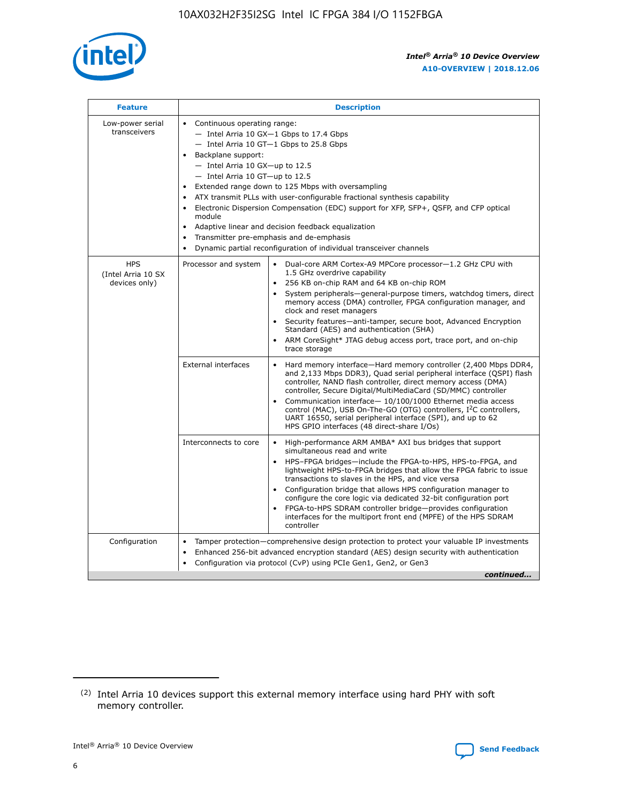

| <b>Feature</b>                                    | <b>Description</b>                                                                                                                                                                                                                                                                                                                                                                                                                                                                                                                                                                                                                                                 |
|---------------------------------------------------|--------------------------------------------------------------------------------------------------------------------------------------------------------------------------------------------------------------------------------------------------------------------------------------------------------------------------------------------------------------------------------------------------------------------------------------------------------------------------------------------------------------------------------------------------------------------------------------------------------------------------------------------------------------------|
| Low-power serial<br>transceivers                  | • Continuous operating range:<br>- Intel Arria 10 GX-1 Gbps to 17.4 Gbps<br>- Intel Arria 10 GT-1 Gbps to 25.8 Gbps<br>Backplane support:<br>$-$ Intel Arria 10 GX-up to 12.5<br>- Intel Arria 10 GT-up to 12.5<br>Extended range down to 125 Mbps with oversampling<br>ATX transmit PLLs with user-configurable fractional synthesis capability<br>$\bullet$<br>Electronic Dispersion Compensation (EDC) support for XFP, SFP+, OSFP, and CFP optical<br>module<br>Adaptive linear and decision feedback equalization<br>$\bullet$<br>Transmitter pre-emphasis and de-emphasis<br>$\bullet$<br>Dynamic partial reconfiguration of individual transceiver channels |
| <b>HPS</b><br>(Intel Arria 10 SX<br>devices only) | • Dual-core ARM Cortex-A9 MPCore processor-1.2 GHz CPU with<br>Processor and system<br>1.5 GHz overdrive capability<br>256 KB on-chip RAM and 64 KB on-chip ROM<br>$\bullet$<br>System peripherals—general-purpose timers, watchdog timers, direct<br>memory access (DMA) controller, FPGA configuration manager, and<br>clock and reset managers<br>Security features—anti-tamper, secure boot, Advanced Encryption<br>$\bullet$<br>Standard (AES) and authentication (SHA)<br>ARM CoreSight* JTAG debug access port, trace port, and on-chip<br>$\bullet$<br>trace storage                                                                                       |
|                                                   | <b>External interfaces</b><br>Hard memory interface-Hard memory controller (2,400 Mbps DDR4,<br>$\bullet$<br>and 2,133 Mbps DDR3), Quad serial peripheral interface (OSPI) flash<br>controller, NAND flash controller, direct memory access (DMA)<br>controller, Secure Digital/MultiMediaCard (SD/MMC) controller<br>Communication interface-10/100/1000 Ethernet media access<br>$\bullet$<br>control (MAC), USB On-The-GO (OTG) controllers, I <sup>2</sup> C controllers,<br>UART 16550, serial peripheral interface (SPI), and up to 62<br>HPS GPIO interfaces (48 direct-share I/Os)                                                                         |
|                                                   | Interconnects to core<br>High-performance ARM AMBA* AXI bus bridges that support<br>$\bullet$<br>simultaneous read and write<br>HPS-FPGA bridges-include the FPGA-to-HPS, HPS-to-FPGA, and<br>$\bullet$<br>lightweight HPS-to-FPGA bridges that allow the FPGA fabric to issue<br>transactions to slaves in the HPS, and vice versa<br>Configuration bridge that allows HPS configuration manager to<br>configure the core logic via dedicated 32-bit configuration port<br>FPGA-to-HPS SDRAM controller bridge-provides configuration<br>interfaces for the multiport front end (MPFE) of the HPS SDRAM<br>controller                                             |
| Configuration                                     | Tamper protection—comprehensive design protection to protect your valuable IP investments<br>Enhanced 256-bit advanced encryption standard (AES) design security with authentication<br>٠<br>Configuration via protocol (CvP) using PCIe Gen1, Gen2, or Gen3<br>continued                                                                                                                                                                                                                                                                                                                                                                                          |

<sup>(2)</sup> Intel Arria 10 devices support this external memory interface using hard PHY with soft memory controller.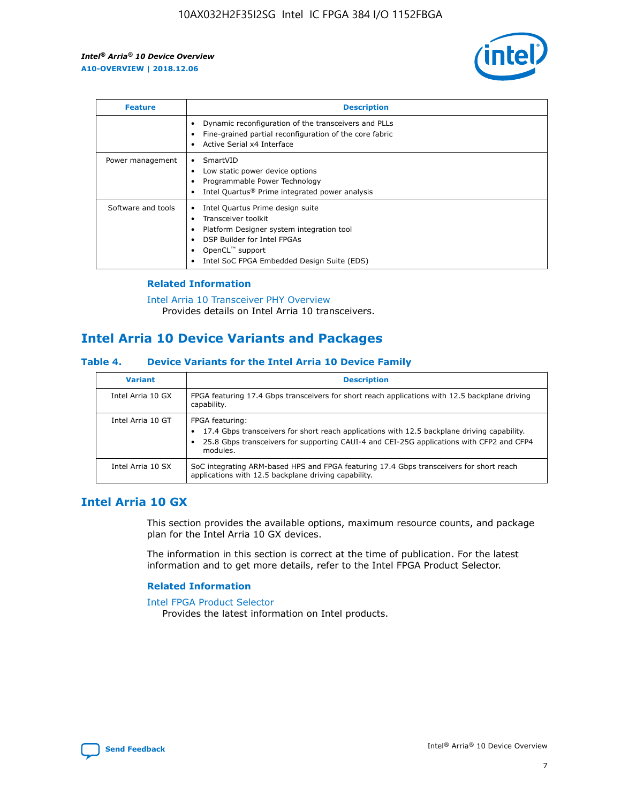

| <b>Feature</b>     | <b>Description</b>                                                                                                                                                                                               |
|--------------------|------------------------------------------------------------------------------------------------------------------------------------------------------------------------------------------------------------------|
|                    | Dynamic reconfiguration of the transceivers and PLLs<br>Fine-grained partial reconfiguration of the core fabric<br>Active Serial x4 Interface<br>$\bullet$                                                       |
| Power management   | SmartVID<br>Low static power device options<br>Programmable Power Technology<br>Intel Quartus <sup>®</sup> Prime integrated power analysis                                                                       |
| Software and tools | Intel Quartus Prime design suite<br>Transceiver toolkit<br>Platform Designer system integration tool<br>DSP Builder for Intel FPGAs<br>OpenCL <sup>™</sup> support<br>Intel SoC FPGA Embedded Design Suite (EDS) |

## **Related Information**

[Intel Arria 10 Transceiver PHY Overview](https://www.intel.com/content/www/us/en/programmable/documentation/nik1398707230472.html#nik1398706768037) Provides details on Intel Arria 10 transceivers.

# **Intel Arria 10 Device Variants and Packages**

#### **Table 4. Device Variants for the Intel Arria 10 Device Family**

| <b>Variant</b>    | <b>Description</b>                                                                                                                                                                                                     |
|-------------------|------------------------------------------------------------------------------------------------------------------------------------------------------------------------------------------------------------------------|
| Intel Arria 10 GX | FPGA featuring 17.4 Gbps transceivers for short reach applications with 12.5 backplane driving<br>capability.                                                                                                          |
| Intel Arria 10 GT | FPGA featuring:<br>17.4 Gbps transceivers for short reach applications with 12.5 backplane driving capability.<br>25.8 Gbps transceivers for supporting CAUI-4 and CEI-25G applications with CFP2 and CFP4<br>modules. |
| Intel Arria 10 SX | SoC integrating ARM-based HPS and FPGA featuring 17.4 Gbps transceivers for short reach<br>applications with 12.5 backplane driving capability.                                                                        |

## **Intel Arria 10 GX**

This section provides the available options, maximum resource counts, and package plan for the Intel Arria 10 GX devices.

The information in this section is correct at the time of publication. For the latest information and to get more details, refer to the Intel FPGA Product Selector.

### **Related Information**

#### [Intel FPGA Product Selector](http://www.altera.com/products/selector/psg-selector.html) Provides the latest information on Intel products.

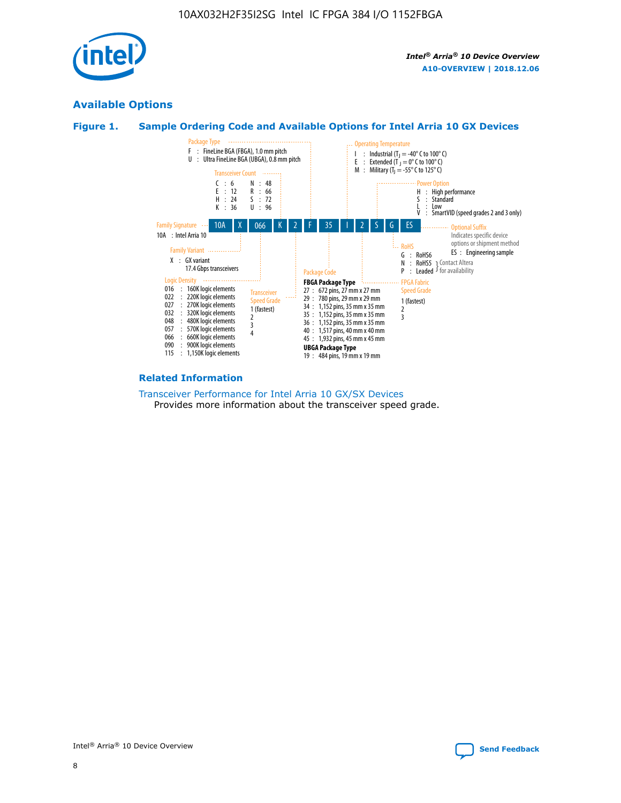

## **Available Options**





#### **Related Information**

[Transceiver Performance for Intel Arria 10 GX/SX Devices](https://www.intel.com/content/www/us/en/programmable/documentation/mcn1413182292568.html#mcn1413213965502) Provides more information about the transceiver speed grade.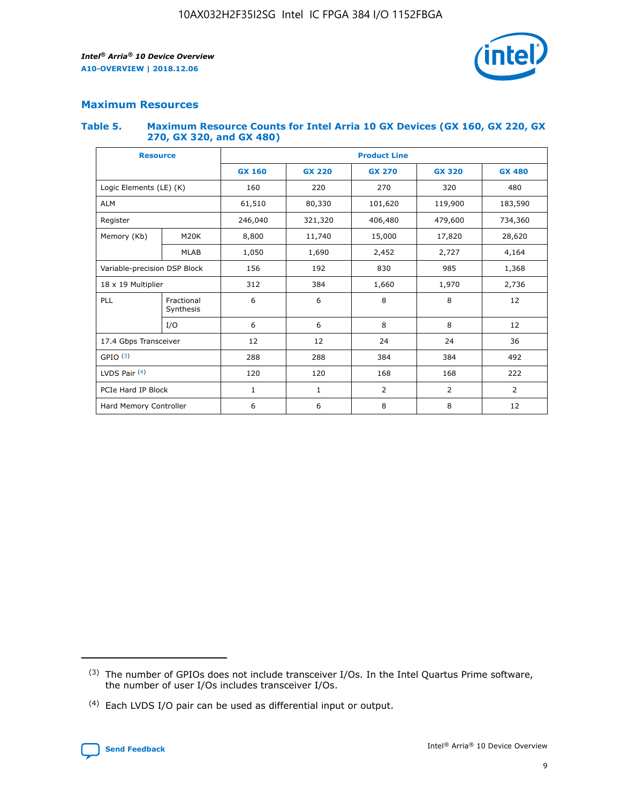

## **Maximum Resources**

#### **Table 5. Maximum Resource Counts for Intel Arria 10 GX Devices (GX 160, GX 220, GX 270, GX 320, and GX 480)**

| <b>Resource</b>              |                         | <b>Product Line</b> |                                                 |                    |                |                |  |  |  |
|------------------------------|-------------------------|---------------------|-------------------------------------------------|--------------------|----------------|----------------|--|--|--|
|                              |                         | <b>GX 160</b>       | <b>GX 220</b><br><b>GX 270</b><br><b>GX 320</b> |                    |                | <b>GX 480</b>  |  |  |  |
| Logic Elements (LE) (K)      |                         | 160                 | 220                                             | 270                | 320            | 480            |  |  |  |
| <b>ALM</b>                   |                         | 61,510              | 80,330                                          | 101,620            | 119,900        | 183,590        |  |  |  |
| Register                     |                         | 246,040             | 321,320                                         | 406,480<br>479,600 |                | 734,360        |  |  |  |
| Memory (Kb)                  | M <sub>20</sub> K       | 8,800               | 11,740                                          | 15,000<br>17,820   |                | 28,620         |  |  |  |
| <b>MLAB</b>                  |                         | 1,050               | 1,690<br>2,452                                  |                    | 2,727          | 4,164          |  |  |  |
| Variable-precision DSP Block |                         | 156                 | 985<br>192<br>830                               |                    | 1,368          |                |  |  |  |
| 18 x 19 Multiplier           |                         | 312                 | 384                                             | 1,660<br>1,970     |                | 2,736          |  |  |  |
| PLL                          | Fractional<br>Synthesis | 6                   | 6                                               | 8                  | 8              | 12             |  |  |  |
|                              | I/O                     | 6                   | 6                                               | 8                  | 8              | 12             |  |  |  |
| 17.4 Gbps Transceiver        |                         | 12                  | 12                                              | 24                 | 24             | 36             |  |  |  |
| GPIO <sup>(3)</sup>          |                         | 288                 | 288<br>384<br>384                               |                    |                | 492            |  |  |  |
| LVDS Pair $(4)$              |                         | 120                 | 120                                             | 168                | 168            | 222            |  |  |  |
| PCIe Hard IP Block           |                         | $\mathbf{1}$        | 1                                               | $\overline{2}$     | $\overline{2}$ | $\overline{2}$ |  |  |  |
| Hard Memory Controller       |                         | 6                   | 6                                               | 8                  | 8              | 12             |  |  |  |

<sup>(4)</sup> Each LVDS I/O pair can be used as differential input or output.



<sup>(3)</sup> The number of GPIOs does not include transceiver I/Os. In the Intel Quartus Prime software, the number of user I/Os includes transceiver I/Os.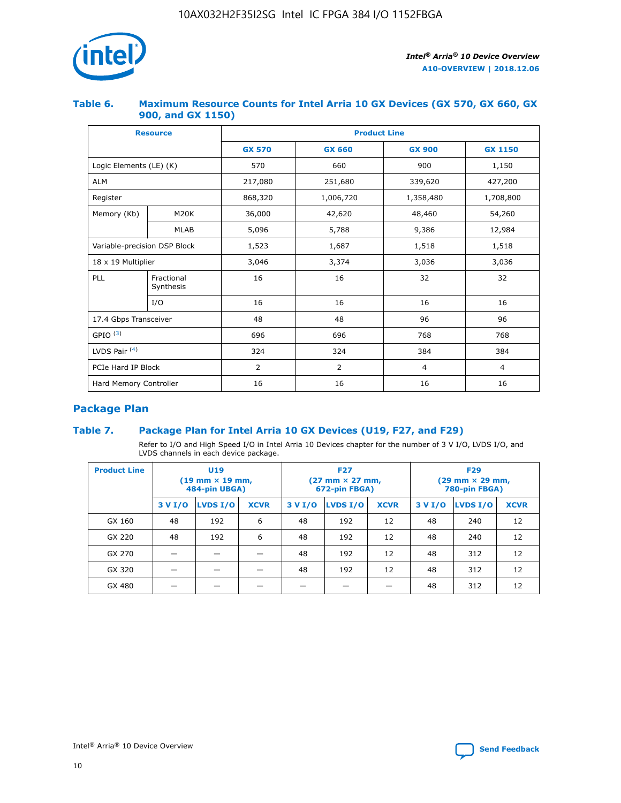

## **Table 6. Maximum Resource Counts for Intel Arria 10 GX Devices (GX 570, GX 660, GX 900, and GX 1150)**

|                              | <b>Resource</b>         | <b>Product Line</b> |                |                |                |  |  |  |
|------------------------------|-------------------------|---------------------|----------------|----------------|----------------|--|--|--|
|                              |                         | <b>GX 570</b>       | <b>GX 660</b>  | <b>GX 900</b>  | <b>GX 1150</b> |  |  |  |
| Logic Elements (LE) (K)      |                         | 570                 | 660            | 900            | 1,150          |  |  |  |
| <b>ALM</b>                   |                         | 217,080             | 251,680        | 339,620        | 427,200        |  |  |  |
| Register                     |                         | 868,320             | 1,006,720      | 1,358,480      | 1,708,800      |  |  |  |
| Memory (Kb)                  | <b>M20K</b>             | 36,000              | 42,620         | 48,460         | 54,260         |  |  |  |
|                              | <b>MLAB</b>             | 5,096               | 5,788          | 9,386          | 12,984         |  |  |  |
| Variable-precision DSP Block |                         | 1,523               | 1,687          | 1,518          | 1,518          |  |  |  |
| 18 x 19 Multiplier           |                         | 3,046               | 3,374          | 3,036          | 3,036          |  |  |  |
| PLL                          | Fractional<br>Synthesis | 16                  | 16             | 32             | 32             |  |  |  |
|                              | I/O                     | 16                  | 16             | 16             | 16             |  |  |  |
| 17.4 Gbps Transceiver        |                         | 48                  | 48             | 96             | 96             |  |  |  |
| GPIO <sup>(3)</sup>          |                         | 696                 | 696            | 768            | 768            |  |  |  |
| LVDS Pair $(4)$              |                         | 324                 | 324            | 384            | 384            |  |  |  |
| PCIe Hard IP Block           |                         | 2                   | $\overline{2}$ | $\overline{4}$ | $\overline{4}$ |  |  |  |
| Hard Memory Controller       |                         | 16                  | 16             | 16             | 16             |  |  |  |

## **Package Plan**

## **Table 7. Package Plan for Intel Arria 10 GX Devices (U19, F27, and F29)**

Refer to I/O and High Speed I/O in Intel Arria 10 Devices chapter for the number of 3 V I/O, LVDS I/O, and LVDS channels in each device package.

| <b>Product Line</b> | U <sub>19</sub><br>$(19 \text{ mm} \times 19 \text{ mm})$<br>484-pin UBGA) |          |             |         | <b>F27</b><br>(27 mm × 27 mm,<br>672-pin FBGA) |             | <b>F29</b><br>(29 mm × 29 mm,<br>780-pin FBGA) |          |             |  |
|---------------------|----------------------------------------------------------------------------|----------|-------------|---------|------------------------------------------------|-------------|------------------------------------------------|----------|-------------|--|
|                     | 3 V I/O                                                                    | LVDS I/O | <b>XCVR</b> | 3 V I/O | LVDS I/O                                       | <b>XCVR</b> | 3 V I/O                                        | LVDS I/O | <b>XCVR</b> |  |
| GX 160              | 48                                                                         | 192      | 6           | 48      | 192                                            | 12          | 48                                             | 240      | 12          |  |
| GX 220              | 48                                                                         | 192      | 6           | 48      | 192                                            | 12          | 48                                             | 240      | 12          |  |
| GX 270              |                                                                            |          |             | 48      | 192                                            | 12          | 48                                             | 312      | 12          |  |
| GX 320              |                                                                            |          |             | 48      | 192                                            | 12          | 48                                             | 312      | 12          |  |
| GX 480              |                                                                            |          |             |         |                                                |             | 48                                             | 312      | 12          |  |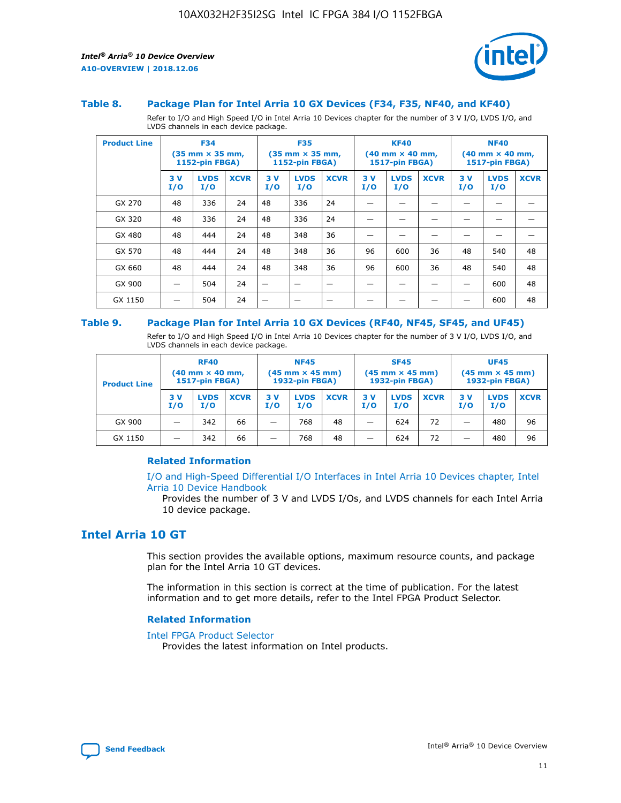

#### **Table 8. Package Plan for Intel Arria 10 GX Devices (F34, F35, NF40, and KF40)**

Refer to I/O and High Speed I/O in Intel Arria 10 Devices chapter for the number of 3 V I/O, LVDS I/O, and LVDS channels in each device package.

| <b>Product Line</b> | <b>F34</b><br>$(35 \text{ mm} \times 35 \text{ mm})$<br>1152-pin FBGA) |                    | <b>F35</b><br>$(35$ mm $\times$ 35 mm,<br><b>1152-pin FBGA)</b> |           | <b>KF40</b><br>$(40$ mm $\times$ 40 mm,<br>1517-pin FBGA) |             |           | <b>NF40</b><br>$(40 \text{ mm} \times 40 \text{ mm})$<br><b>1517-pin FBGA)</b> |             |            |                    |             |
|---------------------|------------------------------------------------------------------------|--------------------|-----------------------------------------------------------------|-----------|-----------------------------------------------------------|-------------|-----------|--------------------------------------------------------------------------------|-------------|------------|--------------------|-------------|
|                     | 3V<br>I/O                                                              | <b>LVDS</b><br>I/O | <b>XCVR</b>                                                     | 3V<br>I/O | <b>LVDS</b><br>I/O                                        | <b>XCVR</b> | 3V<br>I/O | <b>LVDS</b><br>I/O                                                             | <b>XCVR</b> | 3 V<br>I/O | <b>LVDS</b><br>I/O | <b>XCVR</b> |
| GX 270              | 48                                                                     | 336                | 24                                                              | 48        | 336                                                       | 24          |           |                                                                                |             |            |                    |             |
| GX 320              | 48                                                                     | 336                | 24                                                              | 48        | 336                                                       | 24          |           |                                                                                |             |            |                    |             |
| GX 480              | 48                                                                     | 444                | 24                                                              | 48        | 348                                                       | 36          |           |                                                                                |             |            |                    |             |
| GX 570              | 48                                                                     | 444                | 24                                                              | 48        | 348                                                       | 36          | 96        | 600                                                                            | 36          | 48         | 540                | 48          |
| GX 660              | 48                                                                     | 444                | 24                                                              | 48        | 348                                                       | 36          | 96        | 600                                                                            | 36          | 48         | 540                | 48          |
| GX 900              |                                                                        | 504                | 24                                                              | –         |                                                           |             |           |                                                                                |             |            | 600                | 48          |
| GX 1150             |                                                                        | 504                | 24                                                              |           |                                                           |             |           |                                                                                |             |            | 600                | 48          |

#### **Table 9. Package Plan for Intel Arria 10 GX Devices (RF40, NF45, SF45, and UF45)**

Refer to I/O and High Speed I/O in Intel Arria 10 Devices chapter for the number of 3 V I/O, LVDS I/O, and LVDS channels in each device package.

| <b>Product Line</b> | <b>RF40</b><br>$(40 \text{ mm} \times 40 \text{ mm})$<br>1517-pin FBGA) |                    | <b>NF45</b><br>$(45 \text{ mm} \times 45 \text{ mm})$<br>1932-pin FBGA) |            |                    | <b>SF45</b><br>$(45 \text{ mm} \times 45 \text{ mm})$<br><b>1932-pin FBGA)</b> |            |                    | <b>UF45</b><br>$(45 \text{ mm} \times 45 \text{ mm})$<br>1932-pin FBGA) |           |                    |             |
|---------------------|-------------------------------------------------------------------------|--------------------|-------------------------------------------------------------------------|------------|--------------------|--------------------------------------------------------------------------------|------------|--------------------|-------------------------------------------------------------------------|-----------|--------------------|-------------|
|                     | 3 V<br>I/O                                                              | <b>LVDS</b><br>I/O | <b>XCVR</b>                                                             | 3 V<br>I/O | <b>LVDS</b><br>I/O | <b>XCVR</b>                                                                    | 3 V<br>I/O | <b>LVDS</b><br>I/O | <b>XCVR</b>                                                             | 3V<br>I/O | <b>LVDS</b><br>I/O | <b>XCVR</b> |
| GX 900              | _                                                                       | 342                | 66                                                                      | -          | 768                | 48                                                                             | -          | 624                | 72                                                                      | _         | 480                | 96          |
| GX 1150             |                                                                         | 342                | 66                                                                      | -          | 768                | 48                                                                             |            | 624                | 72                                                                      |           | 480                | 96          |

### **Related Information**

[I/O and High-Speed Differential I/O Interfaces in Intel Arria 10 Devices chapter, Intel](https://www.intel.com/content/www/us/en/programmable/documentation/sam1403482614086.html#sam1403482030321) [Arria 10 Device Handbook](https://www.intel.com/content/www/us/en/programmable/documentation/sam1403482614086.html#sam1403482030321)

Provides the number of 3 V and LVDS I/Os, and LVDS channels for each Intel Arria 10 device package.

## **Intel Arria 10 GT**

This section provides the available options, maximum resource counts, and package plan for the Intel Arria 10 GT devices.

The information in this section is correct at the time of publication. For the latest information and to get more details, refer to the Intel FPGA Product Selector.

#### **Related Information**

#### [Intel FPGA Product Selector](http://www.altera.com/products/selector/psg-selector.html)

Provides the latest information on Intel products.

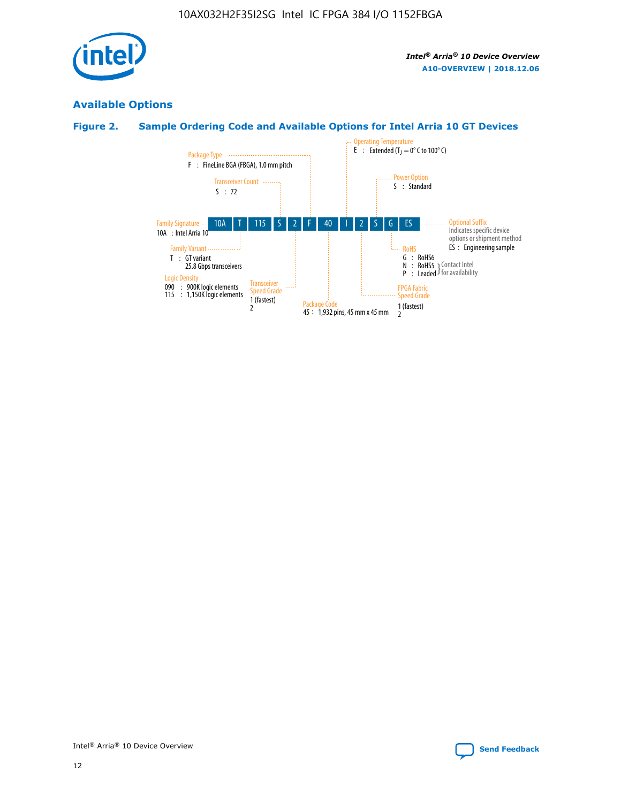

## **Available Options**

## **Figure 2. Sample Ordering Code and Available Options for Intel Arria 10 GT Devices**

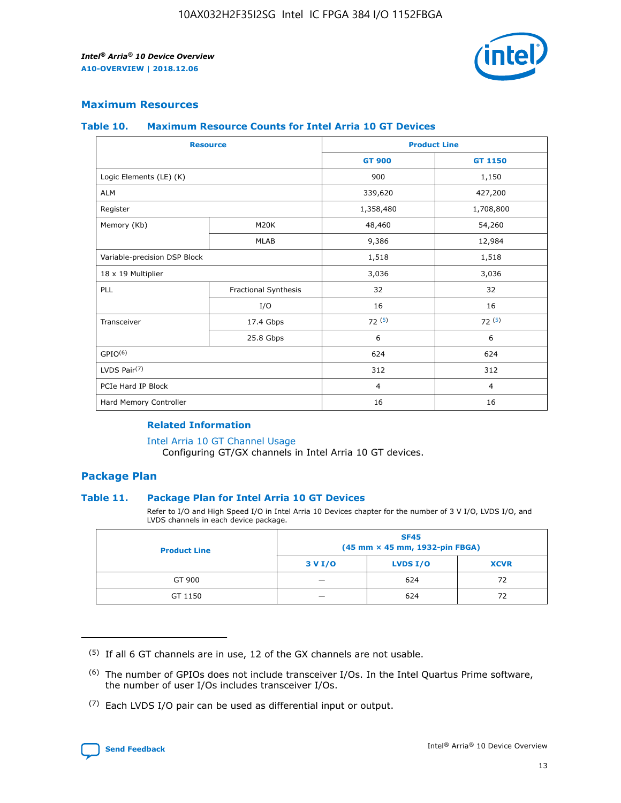

## **Maximum Resources**

#### **Table 10. Maximum Resource Counts for Intel Arria 10 GT Devices**

| <b>Resource</b>              |                      |                | <b>Product Line</b> |  |
|------------------------------|----------------------|----------------|---------------------|--|
|                              |                      | <b>GT 900</b>  | <b>GT 1150</b>      |  |
| Logic Elements (LE) (K)      |                      | 900            | 1,150               |  |
| <b>ALM</b>                   |                      | 339,620        | 427,200             |  |
| Register                     |                      | 1,358,480      | 1,708,800           |  |
| Memory (Kb)                  | M20K                 | 48,460         | 54,260              |  |
|                              | <b>MLAB</b>          | 9,386          | 12,984              |  |
| Variable-precision DSP Block |                      | 1,518          | 1,518               |  |
| 18 x 19 Multiplier           |                      | 3,036          | 3,036               |  |
| PLL                          | Fractional Synthesis | 32             | 32                  |  |
|                              | I/O                  | 16             | 16                  |  |
| Transceiver                  | 17.4 Gbps            | 72(5)          | 72(5)               |  |
|                              | 25.8 Gbps            | 6              | 6                   |  |
| GPIO <sup>(6)</sup>          |                      | 624            | 624                 |  |
| LVDS Pair $(7)$              |                      | 312            | 312                 |  |
| PCIe Hard IP Block           |                      | $\overline{4}$ | $\overline{4}$      |  |
| Hard Memory Controller       |                      | 16             | 16                  |  |

### **Related Information**

#### [Intel Arria 10 GT Channel Usage](https://www.intel.com/content/www/us/en/programmable/documentation/nik1398707230472.html#nik1398707008178)

Configuring GT/GX channels in Intel Arria 10 GT devices.

## **Package Plan**

#### **Table 11. Package Plan for Intel Arria 10 GT Devices**

Refer to I/O and High Speed I/O in Intel Arria 10 Devices chapter for the number of 3 V I/O, LVDS I/O, and LVDS channels in each device package.

| <b>Product Line</b> | <b>SF45</b><br>(45 mm × 45 mm, 1932-pin FBGA) |                 |             |  |  |  |
|---------------------|-----------------------------------------------|-----------------|-------------|--|--|--|
|                     | 3 V I/O                                       | <b>LVDS I/O</b> | <b>XCVR</b> |  |  |  |
| GT 900              |                                               | 624             | 72          |  |  |  |
| GT 1150             |                                               | 624             | 72          |  |  |  |

<sup>(7)</sup> Each LVDS I/O pair can be used as differential input or output.



 $(5)$  If all 6 GT channels are in use, 12 of the GX channels are not usable.

<sup>(6)</sup> The number of GPIOs does not include transceiver I/Os. In the Intel Quartus Prime software, the number of user I/Os includes transceiver I/Os.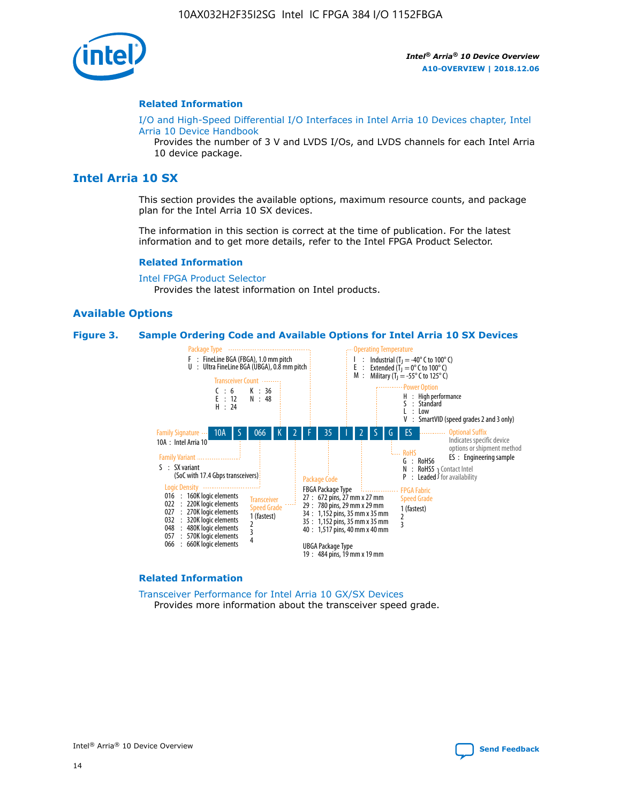

#### **Related Information**

[I/O and High-Speed Differential I/O Interfaces in Intel Arria 10 Devices chapter, Intel](https://www.intel.com/content/www/us/en/programmable/documentation/sam1403482614086.html#sam1403482030321) [Arria 10 Device Handbook](https://www.intel.com/content/www/us/en/programmable/documentation/sam1403482614086.html#sam1403482030321)

Provides the number of 3 V and LVDS I/Os, and LVDS channels for each Intel Arria 10 device package.

## **Intel Arria 10 SX**

This section provides the available options, maximum resource counts, and package plan for the Intel Arria 10 SX devices.

The information in this section is correct at the time of publication. For the latest information and to get more details, refer to the Intel FPGA Product Selector.

#### **Related Information**

[Intel FPGA Product Selector](http://www.altera.com/products/selector/psg-selector.html) Provides the latest information on Intel products.

#### **Available Options**

#### **Figure 3. Sample Ordering Code and Available Options for Intel Arria 10 SX Devices**



#### **Related Information**

[Transceiver Performance for Intel Arria 10 GX/SX Devices](https://www.intel.com/content/www/us/en/programmable/documentation/mcn1413182292568.html#mcn1413213965502) Provides more information about the transceiver speed grade.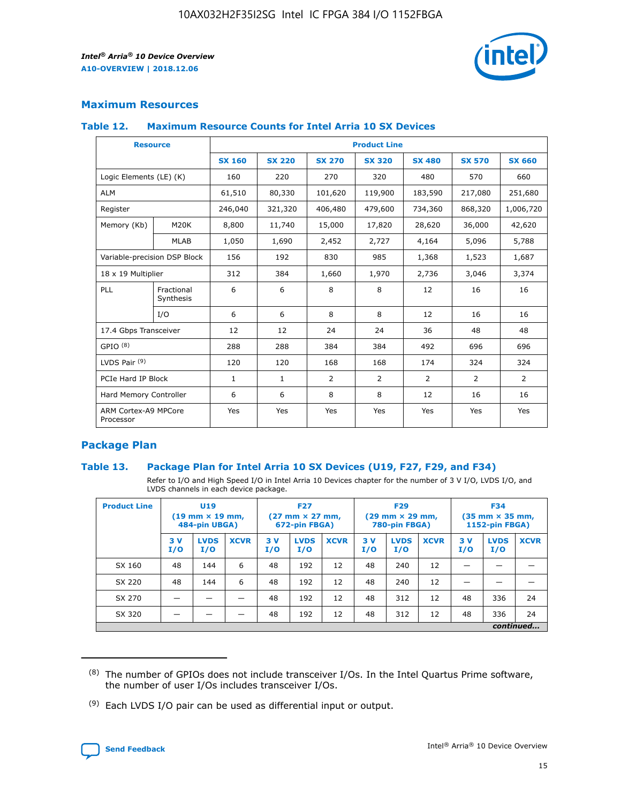

## **Maximum Resources**

#### **Table 12. Maximum Resource Counts for Intel Arria 10 SX Devices**

|                                   | <b>Resource</b>         | <b>Product Line</b> |               |                |                |                |                |                |  |  |  |
|-----------------------------------|-------------------------|---------------------|---------------|----------------|----------------|----------------|----------------|----------------|--|--|--|
|                                   |                         | <b>SX 160</b>       | <b>SX 220</b> | <b>SX 270</b>  | <b>SX 320</b>  | <b>SX 480</b>  | <b>SX 570</b>  | <b>SX 660</b>  |  |  |  |
| Logic Elements (LE) (K)           |                         | 160                 | 220           | 270            | 320            | 480            | 570            | 660            |  |  |  |
| <b>ALM</b>                        |                         | 61,510              | 80,330        | 101,620        | 119,900        | 183,590        | 217,080        | 251,680        |  |  |  |
| Register                          |                         | 246,040             | 321,320       | 406,480        | 479,600        | 734,360        | 868,320        | 1,006,720      |  |  |  |
| Memory (Kb)                       | M <sub>20</sub> K       | 8,800               | 11,740        | 15,000         | 17,820         | 28,620         | 36,000         | 42,620         |  |  |  |
|                                   | <b>MLAB</b>             | 1,050               | 1,690         | 2,452          | 2,727          | 4,164          | 5,096          | 5,788          |  |  |  |
| Variable-precision DSP Block      |                         | 156                 | 192           | 830            | 985            | 1,368          | 1,523          | 1,687          |  |  |  |
| 18 x 19 Multiplier                |                         | 312                 | 384           | 1,660          | 1,970          | 2,736          | 3,046          | 3,374          |  |  |  |
| <b>PLL</b>                        | Fractional<br>Synthesis | 6                   | 6             | 8              | 8              | 12             | 16             | 16             |  |  |  |
|                                   | I/O                     | 6                   | 6             | 8              | 8              | 12             | 16             | 16             |  |  |  |
| 17.4 Gbps Transceiver             |                         | 12                  | 12            | 24             | 24             | 36             | 48             | 48             |  |  |  |
| GPIO <sup>(8)</sup>               |                         | 288                 | 288           | 384            | 384            | 492            | 696            | 696            |  |  |  |
| LVDS Pair $(9)$                   |                         | 120                 | 120           | 168            | 168            | 174            | 324            | 324            |  |  |  |
| PCIe Hard IP Block                |                         | $\mathbf{1}$        | $\mathbf{1}$  | $\overline{2}$ | $\overline{2}$ | $\overline{2}$ | $\overline{2}$ | $\overline{2}$ |  |  |  |
| Hard Memory Controller            |                         | 6                   | 6             | 8              | 8              | 12             | 16             | 16             |  |  |  |
| ARM Cortex-A9 MPCore<br>Processor |                         | Yes                 | Yes           | Yes            | Yes            | Yes            | Yes            | Yes            |  |  |  |

## **Package Plan**

#### **Table 13. Package Plan for Intel Arria 10 SX Devices (U19, F27, F29, and F34)**

Refer to I/O and High Speed I/O in Intel Arria 10 Devices chapter for the number of 3 V I/O, LVDS I/O, and LVDS channels in each device package.

| <b>Product Line</b> | <b>U19</b><br>$(19 \text{ mm} \times 19 \text{ mm})$<br>484-pin UBGA) |                    | <b>F27</b><br>$(27 \text{ mm} \times 27 \text{ mm})$<br>672-pin FBGA) |           | <b>F29</b><br>$(29$ mm $\times$ 29 mm,<br>780-pin FBGA) |             |            | <b>F34</b><br>$(35 \text{ mm} \times 35 \text{ mm})$<br>1152-pin FBGA) |             |           |                    |             |
|---------------------|-----------------------------------------------------------------------|--------------------|-----------------------------------------------------------------------|-----------|---------------------------------------------------------|-------------|------------|------------------------------------------------------------------------|-------------|-----------|--------------------|-------------|
|                     | 3V<br>I/O                                                             | <b>LVDS</b><br>I/O | <b>XCVR</b>                                                           | 3V<br>I/O | <b>LVDS</b><br>I/O                                      | <b>XCVR</b> | 3 V<br>I/O | <b>LVDS</b><br>I/O                                                     | <b>XCVR</b> | 3V<br>I/O | <b>LVDS</b><br>I/O | <b>XCVR</b> |
| SX 160              | 48                                                                    | 144                | 6                                                                     | 48        | 192                                                     | 12          | 48         | 240                                                                    | 12          | –         |                    |             |
| SX 220              | 48                                                                    | 144                | 6                                                                     | 48        | 192                                                     | 12          | 48         | 240                                                                    | 12          |           |                    |             |
| SX 270              |                                                                       |                    |                                                                       | 48        | 192                                                     | 12          | 48         | 312                                                                    | 12          | 48        | 336                | 24          |
| SX 320              |                                                                       |                    |                                                                       | 48        | 192                                                     | 12          | 48         | 312                                                                    | 12          | 48        | 336                | 24          |
|                     | continued                                                             |                    |                                                                       |           |                                                         |             |            |                                                                        |             |           |                    |             |

 $(8)$  The number of GPIOs does not include transceiver I/Os. In the Intel Quartus Prime software, the number of user I/Os includes transceiver I/Os.

 $(9)$  Each LVDS I/O pair can be used as differential input or output.

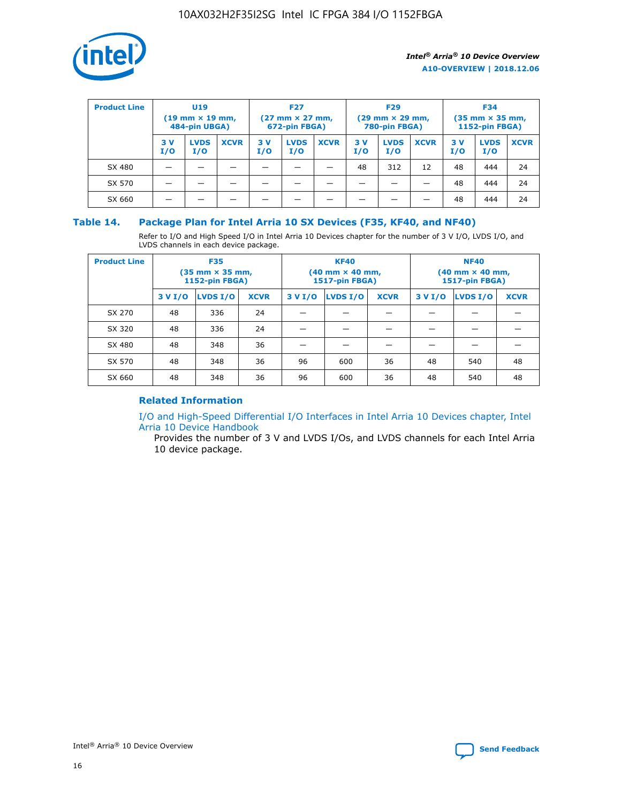

| <b>Product Line</b> | U <sub>19</sub><br>$(19 \text{ mm} \times 19 \text{ mm})$<br>484-pin UBGA) |                    | <b>F27</b><br>$(27 \text{ mm} \times 27 \text{ mm})$<br>672-pin FBGA) |           | <b>F29</b><br>$(29 \text{ mm} \times 29 \text{ mm})$<br>780-pin FBGA) |             |           | <b>F34</b><br>$(35$ mm $\times$ 35 mm,<br><b>1152-pin FBGA)</b> |             |           |                    |             |
|---------------------|----------------------------------------------------------------------------|--------------------|-----------------------------------------------------------------------|-----------|-----------------------------------------------------------------------|-------------|-----------|-----------------------------------------------------------------|-------------|-----------|--------------------|-------------|
|                     | 3V<br>I/O                                                                  | <b>LVDS</b><br>I/O | <b>XCVR</b>                                                           | 3V<br>I/O | <b>LVDS</b><br>I/O                                                    | <b>XCVR</b> | 3V<br>I/O | <b>LVDS</b><br>I/O                                              | <b>XCVR</b> | 3V<br>I/O | <b>LVDS</b><br>I/O | <b>XCVR</b> |
| SX 480              |                                                                            |                    |                                                                       |           |                                                                       |             | 48        | 312                                                             | 12          | 48        | 444                | 24          |
| SX 570              |                                                                            |                    |                                                                       |           |                                                                       |             |           |                                                                 |             | 48        | 444                | 24          |
| SX 660              |                                                                            |                    |                                                                       |           |                                                                       |             |           |                                                                 |             | 48        | 444                | 24          |

## **Table 14. Package Plan for Intel Arria 10 SX Devices (F35, KF40, and NF40)**

Refer to I/O and High Speed I/O in Intel Arria 10 Devices chapter for the number of 3 V I/O, LVDS I/O, and LVDS channels in each device package.

| <b>Product Line</b> | <b>F35</b><br>$(35 \text{ mm} \times 35 \text{ mm})$<br><b>1152-pin FBGA)</b> |          |             |                                           | <b>KF40</b><br>(40 mm × 40 mm,<br>1517-pin FBGA) |    | <b>NF40</b><br>$(40 \text{ mm} \times 40 \text{ mm})$<br>1517-pin FBGA) |          |             |  |
|---------------------|-------------------------------------------------------------------------------|----------|-------------|-------------------------------------------|--------------------------------------------------|----|-------------------------------------------------------------------------|----------|-------------|--|
|                     | 3 V I/O                                                                       | LVDS I/O | <b>XCVR</b> | <b>LVDS I/O</b><br><b>XCVR</b><br>3 V I/O |                                                  |    | 3 V I/O                                                                 | LVDS I/O | <b>XCVR</b> |  |
| SX 270              | 48                                                                            | 336      | 24          |                                           |                                                  |    |                                                                         |          |             |  |
| SX 320              | 48                                                                            | 336      | 24          |                                           |                                                  |    |                                                                         |          |             |  |
| SX 480              | 48                                                                            | 348      | 36          |                                           |                                                  |    |                                                                         |          |             |  |
| SX 570              | 48                                                                            | 348      | 36          | 96<br>36<br>600                           |                                                  | 48 | 540                                                                     | 48       |             |  |
| SX 660              | 48                                                                            | 348      | 36          | 96                                        | 600                                              | 36 | 48                                                                      | 540      | 48          |  |

## **Related Information**

[I/O and High-Speed Differential I/O Interfaces in Intel Arria 10 Devices chapter, Intel](https://www.intel.com/content/www/us/en/programmable/documentation/sam1403482614086.html#sam1403482030321) [Arria 10 Device Handbook](https://www.intel.com/content/www/us/en/programmable/documentation/sam1403482614086.html#sam1403482030321)

Provides the number of 3 V and LVDS I/Os, and LVDS channels for each Intel Arria 10 device package.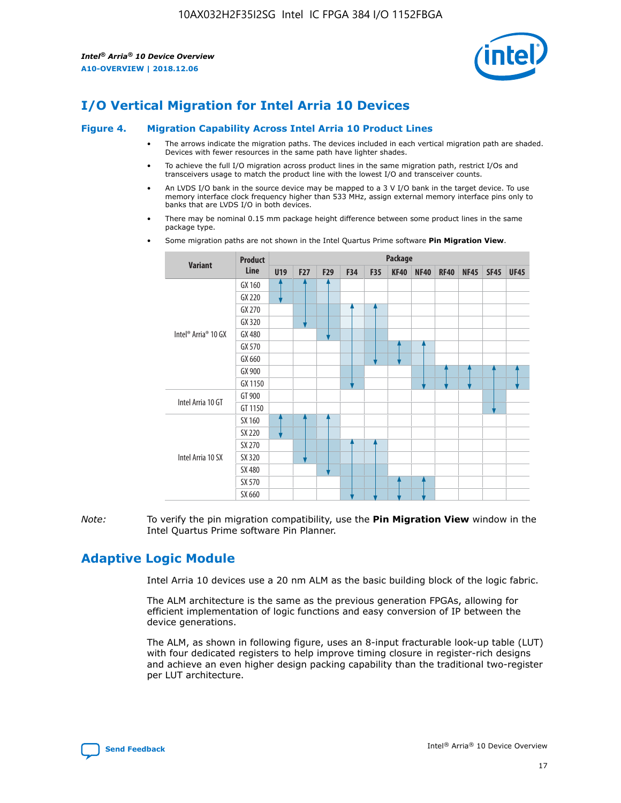

# **I/O Vertical Migration for Intel Arria 10 Devices**

#### **Figure 4. Migration Capability Across Intel Arria 10 Product Lines**

- The arrows indicate the migration paths. The devices included in each vertical migration path are shaded. Devices with fewer resources in the same path have lighter shades.
- To achieve the full I/O migration across product lines in the same migration path, restrict I/Os and transceivers usage to match the product line with the lowest I/O and transceiver counts.
- An LVDS I/O bank in the source device may be mapped to a 3 V I/O bank in the target device. To use memory interface clock frequency higher than 533 MHz, assign external memory interface pins only to banks that are LVDS I/O in both devices.
- There may be nominal 0.15 mm package height difference between some product lines in the same package type.
	- **Variant Product Line Package U19 F27 F29 F34 F35 KF40 NF40 RF40 NF45 SF45 UF45** Intel® Arria® 10 GX GX 160 GX 220 GX 270 GX 320 GX 480 GX 570 GX 660 GX 900 GX 1150 Intel Arria 10 GT GT 900 GT 1150 Intel Arria 10 SX SX 160 SX 220 SX 270 SX 320 SX 480 SX 570 SX 660
- Some migration paths are not shown in the Intel Quartus Prime software **Pin Migration View**.

*Note:* To verify the pin migration compatibility, use the **Pin Migration View** window in the Intel Quartus Prime software Pin Planner.

# **Adaptive Logic Module**

Intel Arria 10 devices use a 20 nm ALM as the basic building block of the logic fabric.

The ALM architecture is the same as the previous generation FPGAs, allowing for efficient implementation of logic functions and easy conversion of IP between the device generations.

The ALM, as shown in following figure, uses an 8-input fracturable look-up table (LUT) with four dedicated registers to help improve timing closure in register-rich designs and achieve an even higher design packing capability than the traditional two-register per LUT architecture.

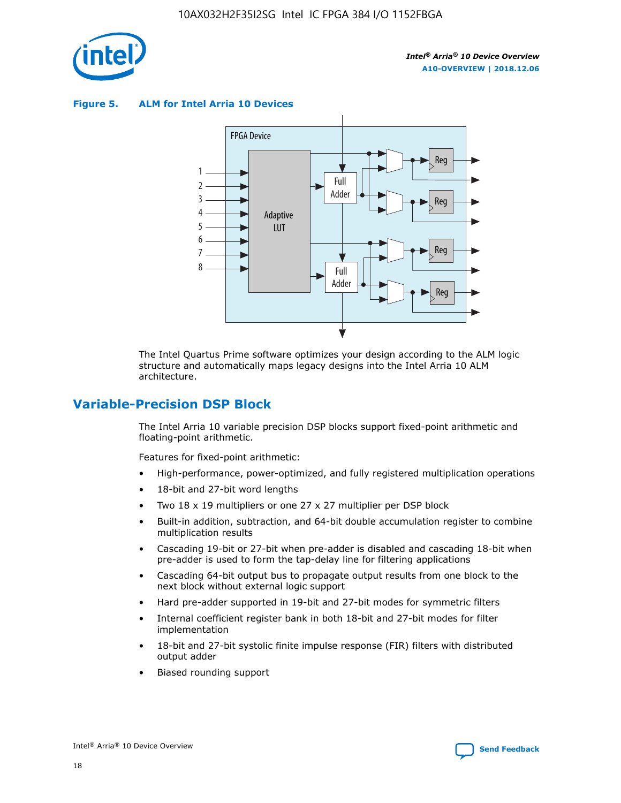

**Figure 5. ALM for Intel Arria 10 Devices**



The Intel Quartus Prime software optimizes your design according to the ALM logic structure and automatically maps legacy designs into the Intel Arria 10 ALM architecture.

# **Variable-Precision DSP Block**

The Intel Arria 10 variable precision DSP blocks support fixed-point arithmetic and floating-point arithmetic.

Features for fixed-point arithmetic:

- High-performance, power-optimized, and fully registered multiplication operations
- 18-bit and 27-bit word lengths
- Two 18 x 19 multipliers or one 27 x 27 multiplier per DSP block
- Built-in addition, subtraction, and 64-bit double accumulation register to combine multiplication results
- Cascading 19-bit or 27-bit when pre-adder is disabled and cascading 18-bit when pre-adder is used to form the tap-delay line for filtering applications
- Cascading 64-bit output bus to propagate output results from one block to the next block without external logic support
- Hard pre-adder supported in 19-bit and 27-bit modes for symmetric filters
- Internal coefficient register bank in both 18-bit and 27-bit modes for filter implementation
- 18-bit and 27-bit systolic finite impulse response (FIR) filters with distributed output adder
- Biased rounding support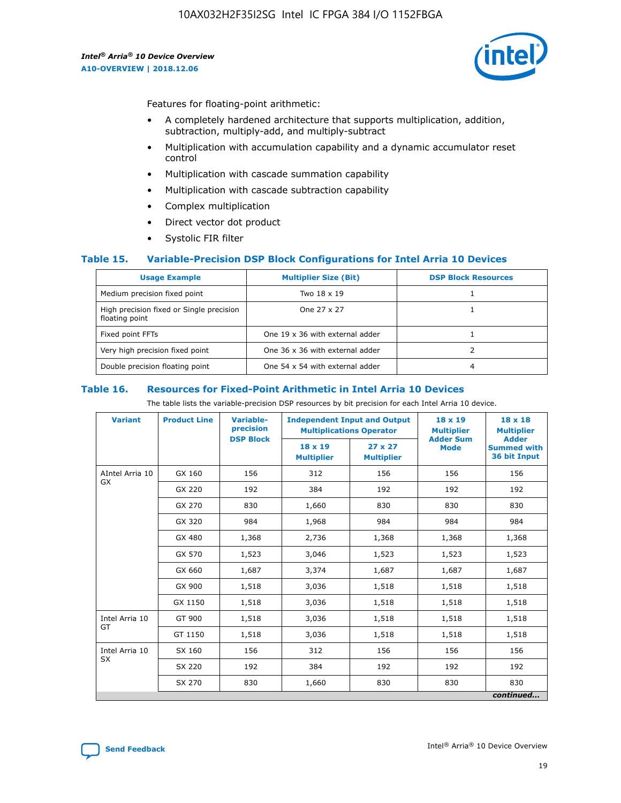

Features for floating-point arithmetic:

- A completely hardened architecture that supports multiplication, addition, subtraction, multiply-add, and multiply-subtract
- Multiplication with accumulation capability and a dynamic accumulator reset control
- Multiplication with cascade summation capability
- Multiplication with cascade subtraction capability
- Complex multiplication
- Direct vector dot product
- Systolic FIR filter

#### **Table 15. Variable-Precision DSP Block Configurations for Intel Arria 10 Devices**

| <b>Usage Example</b>                                       | <b>Multiplier Size (Bit)</b>    | <b>DSP Block Resources</b> |
|------------------------------------------------------------|---------------------------------|----------------------------|
| Medium precision fixed point                               | Two 18 x 19                     |                            |
| High precision fixed or Single precision<br>floating point | One 27 x 27                     |                            |
| Fixed point FFTs                                           | One 19 x 36 with external adder |                            |
| Very high precision fixed point                            | One 36 x 36 with external adder |                            |
| Double precision floating point                            | One 54 x 54 with external adder | 4                          |

#### **Table 16. Resources for Fixed-Point Arithmetic in Intel Arria 10 Devices**

The table lists the variable-precision DSP resources by bit precision for each Intel Arria 10 device.

| <b>Variant</b>  | <b>Product Line</b> | <b>Variable-</b><br>precision | <b>Independent Input and Output</b><br><b>Multiplications Operator</b> |                                     | $18 \times 19$<br><b>Multiplier</b> | $18 \times 18$<br><b>Multiplier</b>                |
|-----------------|---------------------|-------------------------------|------------------------------------------------------------------------|-------------------------------------|-------------------------------------|----------------------------------------------------|
|                 |                     | <b>DSP Block</b>              | 18 x 19<br><b>Multiplier</b>                                           | $27 \times 27$<br><b>Multiplier</b> | <b>Adder Sum</b><br><b>Mode</b>     | <b>Adder</b><br><b>Summed with</b><br>36 bit Input |
| AIntel Arria 10 | GX 160              | 156                           | 312                                                                    | 156                                 |                                     | 156                                                |
| <b>GX</b>       | GX 220              | 192                           | 384                                                                    | 192                                 | 192                                 | 192                                                |
|                 | GX 270              | 830                           | 1,660                                                                  | 830                                 | 830                                 | 830                                                |
|                 | GX 320              | 984                           | 1,968                                                                  | 984                                 | 984                                 | 984                                                |
|                 | GX 480              | 1,368                         | 2,736                                                                  | 1,368                               | 1,368                               | 1,368                                              |
|                 | GX 570              | 1,523                         | 3,046                                                                  | 1,523                               | 1,523                               | 1,523                                              |
|                 | GX 660              | 1,687                         | 3,374                                                                  | 1,687                               | 1,687                               | 1,687                                              |
|                 | GX 900              | 1,518                         | 3,036                                                                  | 1,518                               | 1,518                               | 1,518                                              |
|                 | GX 1150             | 1,518                         | 3,036                                                                  | 1,518                               | 1,518                               | 1,518                                              |
| Intel Arria 10  | GT 900              | 1,518                         | 3,036                                                                  | 1,518                               | 1,518                               | 1,518                                              |
| GT              | GT 1150             | 1,518                         | 3,036                                                                  | 1,518                               | 1,518                               | 1,518                                              |
| Intel Arria 10  | SX 160              | 156                           | 312                                                                    | 156                                 | 156                                 | 156                                                |
| <b>SX</b>       | SX 220              | 192                           | 384                                                                    | 192                                 | 192                                 | 192                                                |
|                 | SX 270              | 830                           | 1,660                                                                  | 830                                 | 830                                 | 830                                                |
|                 |                     |                               |                                                                        |                                     |                                     | continued                                          |

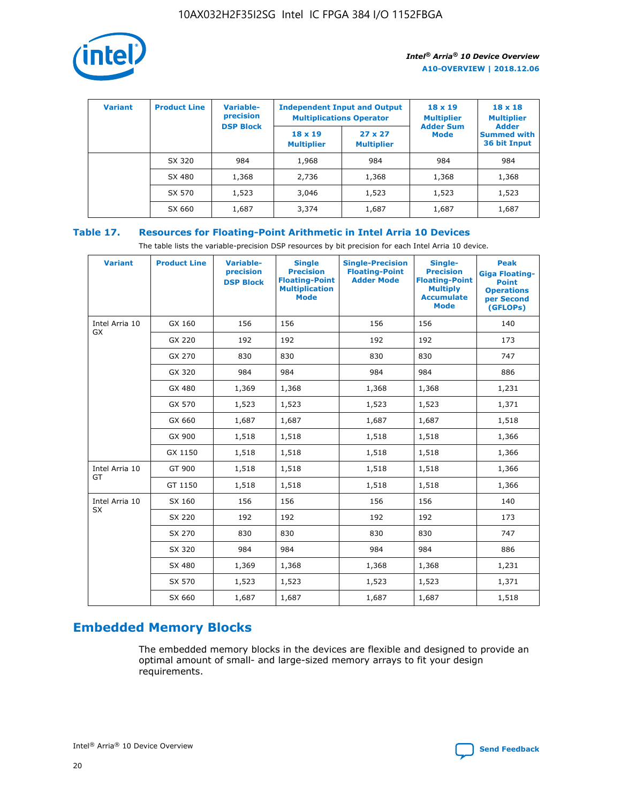

| <b>Variant</b> | <b>Product Line</b> | Variable-<br>precision | <b>Independent Input and Output</b><br><b>Multiplications Operator</b> |                                     | $18 \times 19$<br><b>Multiplier</b> | $18 \times 18$<br><b>Multiplier</b><br><b>Adder</b> |  |
|----------------|---------------------|------------------------|------------------------------------------------------------------------|-------------------------------------|-------------------------------------|-----------------------------------------------------|--|
|                |                     | <b>DSP Block</b>       | $18 \times 19$<br><b>Multiplier</b>                                    | $27 \times 27$<br><b>Multiplier</b> | <b>Adder Sum</b><br><b>Mode</b>     | <b>Summed with</b><br>36 bit Input                  |  |
|                | SX 320              | 984                    | 1,968                                                                  | 984                                 | 984                                 | 984                                                 |  |
|                | SX 480              | 1,368                  | 2,736                                                                  | 1,368                               | 1,368                               | 1,368                                               |  |
|                | SX 570              | 1,523                  | 3,046                                                                  | 1,523                               | 1,523                               | 1,523                                               |  |
|                | SX 660              | 1,687                  | 3,374                                                                  | 1,687                               | 1,687                               | 1,687                                               |  |

## **Table 17. Resources for Floating-Point Arithmetic in Intel Arria 10 Devices**

The table lists the variable-precision DSP resources by bit precision for each Intel Arria 10 device.

| <b>Variant</b> | <b>Product Line</b> | <b>Variable-</b><br>precision<br><b>DSP Block</b> | <b>Single</b><br><b>Precision</b><br><b>Floating-Point</b><br><b>Multiplication</b><br><b>Mode</b> | <b>Single-Precision</b><br><b>Floating-Point</b><br><b>Adder Mode</b> | Single-<br><b>Precision</b><br><b>Floating-Point</b><br><b>Multiply</b><br><b>Accumulate</b><br><b>Mode</b> | <b>Peak</b><br><b>Giga Floating-</b><br><b>Point</b><br><b>Operations</b><br>per Second<br>(GFLOPs) |
|----------------|---------------------|---------------------------------------------------|----------------------------------------------------------------------------------------------------|-----------------------------------------------------------------------|-------------------------------------------------------------------------------------------------------------|-----------------------------------------------------------------------------------------------------|
| Intel Arria 10 | GX 160              | 156                                               | 156                                                                                                | 156                                                                   | 156                                                                                                         | 140                                                                                                 |
| <b>GX</b>      | GX 220              | 192                                               | 192                                                                                                | 192                                                                   | 192                                                                                                         | 173                                                                                                 |
|                | GX 270              | 830                                               | 830                                                                                                | 830                                                                   | 830                                                                                                         | 747                                                                                                 |
|                | GX 320              | 984                                               | 984                                                                                                | 984                                                                   | 984                                                                                                         | 886                                                                                                 |
|                | GX 480              | 1,369                                             | 1,368                                                                                              | 1,368                                                                 | 1,368                                                                                                       | 1,231                                                                                               |
|                | GX 570              | 1,523                                             | 1,523                                                                                              | 1,523                                                                 | 1,523                                                                                                       | 1,371                                                                                               |
|                | GX 660              | 1,687                                             | 1,687                                                                                              | 1,687                                                                 | 1,687                                                                                                       | 1,518                                                                                               |
|                | GX 900              | 1,518                                             | 1,518                                                                                              | 1,518                                                                 | 1,518                                                                                                       | 1,366                                                                                               |
|                | GX 1150             | 1,518                                             | 1,518                                                                                              | 1,518                                                                 | 1,518                                                                                                       | 1,366                                                                                               |
| Intel Arria 10 | GT 900              | 1,518                                             | 1,518                                                                                              | 1,518                                                                 | 1,518                                                                                                       | 1,366                                                                                               |
| GT             | GT 1150             | 1,518                                             | 1,518                                                                                              | 1,518                                                                 | 1,518                                                                                                       | 1,366                                                                                               |
| Intel Arria 10 | SX 160              | 156                                               | 156                                                                                                | 156                                                                   | 156                                                                                                         | 140                                                                                                 |
| <b>SX</b>      | SX 220              | 192                                               | 192                                                                                                | 192                                                                   | 192                                                                                                         | 173                                                                                                 |
|                | SX 270              | 830                                               | 830                                                                                                | 830                                                                   | 830                                                                                                         | 747                                                                                                 |
|                | SX 320              | 984                                               | 984                                                                                                | 984                                                                   | 984                                                                                                         | 886                                                                                                 |
|                | SX 480              | 1,369                                             | 1,368                                                                                              | 1,368                                                                 | 1,368                                                                                                       | 1,231                                                                                               |
|                | SX 570              | 1,523                                             | 1,523                                                                                              | 1,523                                                                 | 1,523                                                                                                       | 1,371                                                                                               |
|                | SX 660              | 1,687                                             | 1,687                                                                                              | 1,687                                                                 | 1,687                                                                                                       | 1,518                                                                                               |

# **Embedded Memory Blocks**

The embedded memory blocks in the devices are flexible and designed to provide an optimal amount of small- and large-sized memory arrays to fit your design requirements.

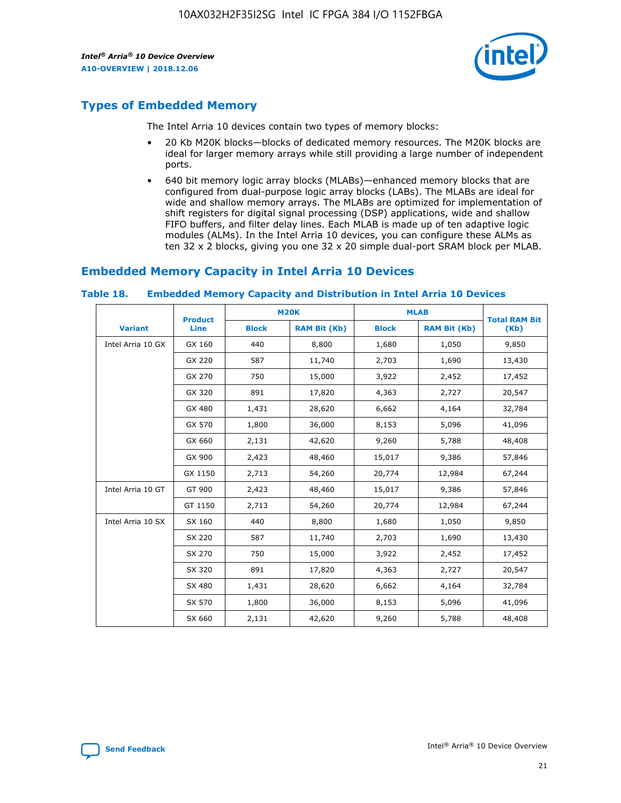

# **Types of Embedded Memory**

The Intel Arria 10 devices contain two types of memory blocks:

- 20 Kb M20K blocks—blocks of dedicated memory resources. The M20K blocks are ideal for larger memory arrays while still providing a large number of independent ports.
- 640 bit memory logic array blocks (MLABs)—enhanced memory blocks that are configured from dual-purpose logic array blocks (LABs). The MLABs are ideal for wide and shallow memory arrays. The MLABs are optimized for implementation of shift registers for digital signal processing (DSP) applications, wide and shallow FIFO buffers, and filter delay lines. Each MLAB is made up of ten adaptive logic modules (ALMs). In the Intel Arria 10 devices, you can configure these ALMs as ten 32 x 2 blocks, giving you one 32 x 20 simple dual-port SRAM block per MLAB.

## **Embedded Memory Capacity in Intel Arria 10 Devices**

|                   | <b>Product</b> |              | <b>M20K</b>         | <b>MLAB</b>  |                     | <b>Total RAM Bit</b> |
|-------------------|----------------|--------------|---------------------|--------------|---------------------|----------------------|
| <b>Variant</b>    | <b>Line</b>    | <b>Block</b> | <b>RAM Bit (Kb)</b> | <b>Block</b> | <b>RAM Bit (Kb)</b> | (Kb)                 |
| Intel Arria 10 GX | GX 160         | 440          | 8,800               | 1,680        | 1,050               | 9,850                |
|                   | GX 220         | 587          | 11,740              | 2,703        | 1,690               | 13,430               |
|                   | GX 270         | 750          | 15,000              | 3,922        | 2,452               | 17,452               |
|                   | GX 320         | 891          | 17,820              | 4,363        | 2,727               | 20,547               |
|                   | GX 480         | 1,431        | 28,620              | 6,662        | 4,164               | 32,784               |
|                   | GX 570         | 1,800        | 36,000              | 8,153        | 5,096               | 41,096               |
|                   | GX 660         | 2,131        | 42,620              | 9,260        | 5,788               | 48,408               |
|                   | GX 900         | 2,423        | 48,460              | 15,017       | 9,386               | 57,846               |
|                   | GX 1150        | 2,713        | 54,260              | 20,774       | 12,984              | 67,244               |
| Intel Arria 10 GT | GT 900         | 2,423        | 48,460              | 15,017       | 9,386               | 57,846               |
|                   | GT 1150        | 2,713        | 54,260              | 20,774       | 12,984              | 67,244               |
| Intel Arria 10 SX | SX 160         | 440          | 8,800               | 1,680        | 1,050               | 9,850                |
|                   | SX 220         | 587          | 11,740              | 2,703        | 1,690               | 13,430               |
|                   | SX 270         | 750          | 15,000              | 3,922        | 2,452               | 17,452               |
|                   | SX 320         | 891          | 17,820              | 4,363        | 2,727               | 20,547               |
|                   | SX 480         | 1,431        | 28,620              | 6,662        | 4,164               | 32,784               |
|                   | SX 570         | 1,800        | 36,000              | 8,153        | 5,096               | 41,096               |
|                   | SX 660         | 2,131        | 42,620              | 9,260        | 5,788               | 48,408               |

#### **Table 18. Embedded Memory Capacity and Distribution in Intel Arria 10 Devices**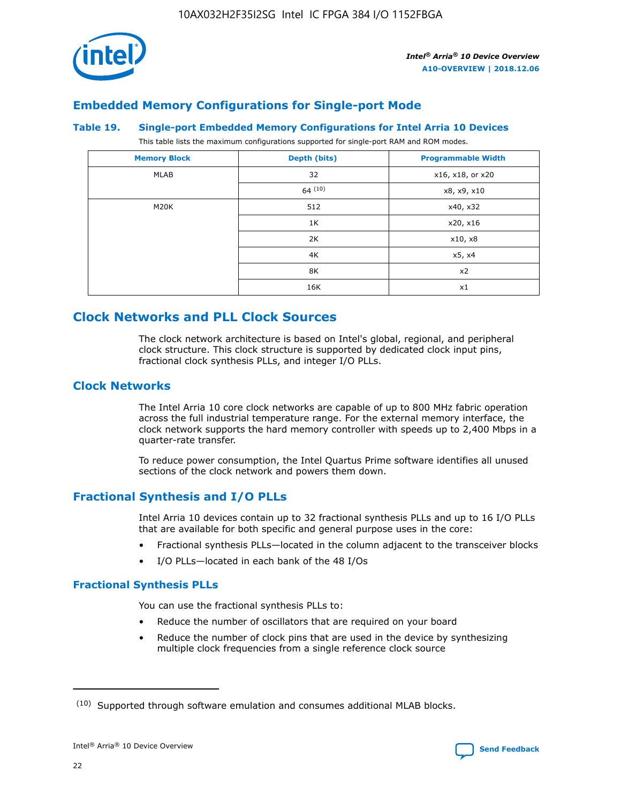

# **Embedded Memory Configurations for Single-port Mode**

#### **Table 19. Single-port Embedded Memory Configurations for Intel Arria 10 Devices**

This table lists the maximum configurations supported for single-port RAM and ROM modes.

| <b>Memory Block</b> | Depth (bits) | <b>Programmable Width</b> |
|---------------------|--------------|---------------------------|
| MLAB                | 32           | x16, x18, or x20          |
|                     | 64(10)       | x8, x9, x10               |
| M20K                | 512          | x40, x32                  |
|                     | 1K           | x20, x16                  |
|                     | 2K           | x10, x8                   |
|                     | 4K           | x5, x4                    |
|                     | 8K           | x2                        |
|                     | 16K          | x1                        |

## **Clock Networks and PLL Clock Sources**

The clock network architecture is based on Intel's global, regional, and peripheral clock structure. This clock structure is supported by dedicated clock input pins, fractional clock synthesis PLLs, and integer I/O PLLs.

## **Clock Networks**

The Intel Arria 10 core clock networks are capable of up to 800 MHz fabric operation across the full industrial temperature range. For the external memory interface, the clock network supports the hard memory controller with speeds up to 2,400 Mbps in a quarter-rate transfer.

To reduce power consumption, the Intel Quartus Prime software identifies all unused sections of the clock network and powers them down.

## **Fractional Synthesis and I/O PLLs**

Intel Arria 10 devices contain up to 32 fractional synthesis PLLs and up to 16 I/O PLLs that are available for both specific and general purpose uses in the core:

- Fractional synthesis PLLs—located in the column adjacent to the transceiver blocks
- I/O PLLs—located in each bank of the 48 I/Os

## **Fractional Synthesis PLLs**

You can use the fractional synthesis PLLs to:

- Reduce the number of oscillators that are required on your board
- Reduce the number of clock pins that are used in the device by synthesizing multiple clock frequencies from a single reference clock source

<sup>(10)</sup> Supported through software emulation and consumes additional MLAB blocks.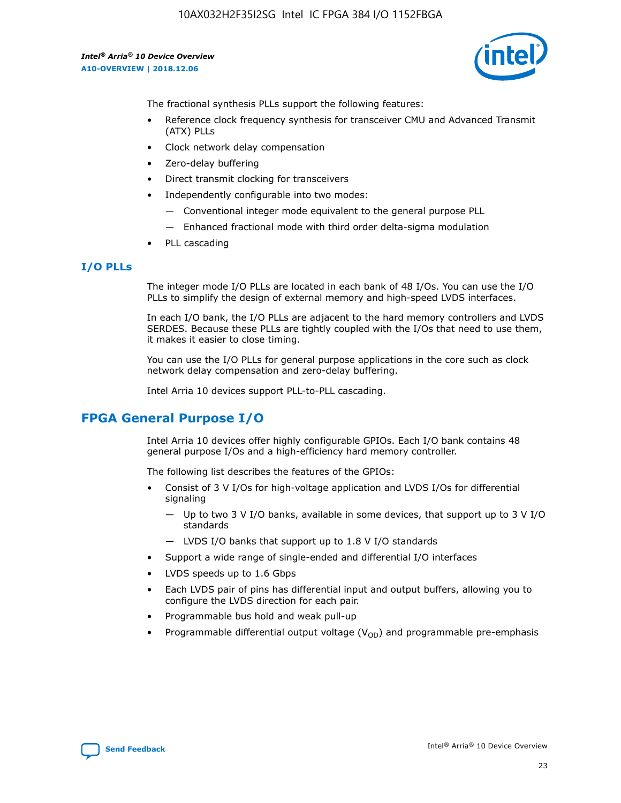

The fractional synthesis PLLs support the following features:

- Reference clock frequency synthesis for transceiver CMU and Advanced Transmit (ATX) PLLs
- Clock network delay compensation
- Zero-delay buffering
- Direct transmit clocking for transceivers
- Independently configurable into two modes:
	- Conventional integer mode equivalent to the general purpose PLL
	- Enhanced fractional mode with third order delta-sigma modulation
- PLL cascading

## **I/O PLLs**

The integer mode I/O PLLs are located in each bank of 48 I/Os. You can use the I/O PLLs to simplify the design of external memory and high-speed LVDS interfaces.

In each I/O bank, the I/O PLLs are adjacent to the hard memory controllers and LVDS SERDES. Because these PLLs are tightly coupled with the I/Os that need to use them, it makes it easier to close timing.

You can use the I/O PLLs for general purpose applications in the core such as clock network delay compensation and zero-delay buffering.

Intel Arria 10 devices support PLL-to-PLL cascading.

# **FPGA General Purpose I/O**

Intel Arria 10 devices offer highly configurable GPIOs. Each I/O bank contains 48 general purpose I/Os and a high-efficiency hard memory controller.

The following list describes the features of the GPIOs:

- Consist of 3 V I/Os for high-voltage application and LVDS I/Os for differential signaling
	- Up to two 3 V I/O banks, available in some devices, that support up to 3 V I/O standards
	- LVDS I/O banks that support up to 1.8 V I/O standards
- Support a wide range of single-ended and differential I/O interfaces
- LVDS speeds up to 1.6 Gbps
- Each LVDS pair of pins has differential input and output buffers, allowing you to configure the LVDS direction for each pair.
- Programmable bus hold and weak pull-up
- Programmable differential output voltage  $(V_{OD})$  and programmable pre-emphasis

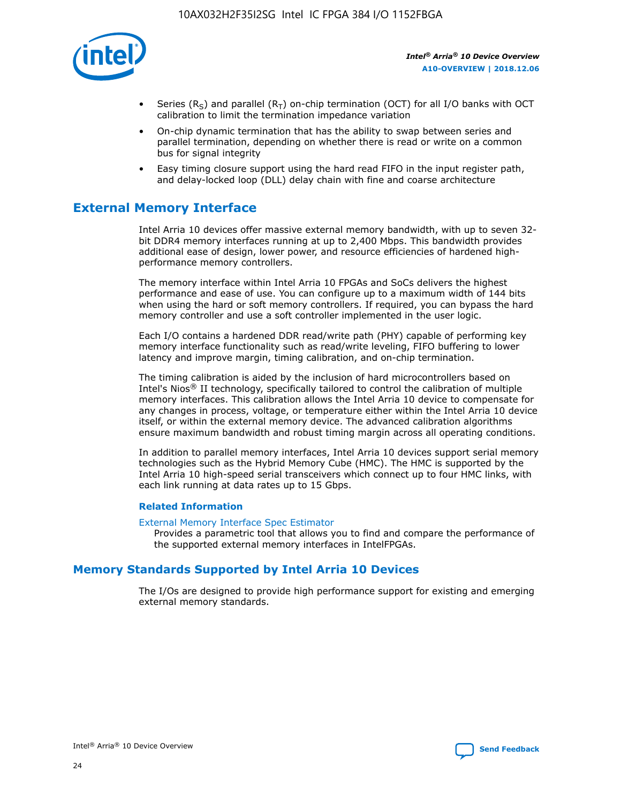

- Series (R<sub>S</sub>) and parallel (R<sub>T</sub>) on-chip termination (OCT) for all I/O banks with OCT calibration to limit the termination impedance variation
- On-chip dynamic termination that has the ability to swap between series and parallel termination, depending on whether there is read or write on a common bus for signal integrity
- Easy timing closure support using the hard read FIFO in the input register path, and delay-locked loop (DLL) delay chain with fine and coarse architecture

# **External Memory Interface**

Intel Arria 10 devices offer massive external memory bandwidth, with up to seven 32 bit DDR4 memory interfaces running at up to 2,400 Mbps. This bandwidth provides additional ease of design, lower power, and resource efficiencies of hardened highperformance memory controllers.

The memory interface within Intel Arria 10 FPGAs and SoCs delivers the highest performance and ease of use. You can configure up to a maximum width of 144 bits when using the hard or soft memory controllers. If required, you can bypass the hard memory controller and use a soft controller implemented in the user logic.

Each I/O contains a hardened DDR read/write path (PHY) capable of performing key memory interface functionality such as read/write leveling, FIFO buffering to lower latency and improve margin, timing calibration, and on-chip termination.

The timing calibration is aided by the inclusion of hard microcontrollers based on Intel's Nios® II technology, specifically tailored to control the calibration of multiple memory interfaces. This calibration allows the Intel Arria 10 device to compensate for any changes in process, voltage, or temperature either within the Intel Arria 10 device itself, or within the external memory device. The advanced calibration algorithms ensure maximum bandwidth and robust timing margin across all operating conditions.

In addition to parallel memory interfaces, Intel Arria 10 devices support serial memory technologies such as the Hybrid Memory Cube (HMC). The HMC is supported by the Intel Arria 10 high-speed serial transceivers which connect up to four HMC links, with each link running at data rates up to 15 Gbps.

#### **Related Information**

#### [External Memory Interface Spec Estimator](http://www.altera.com/technology/memory/estimator/mem-emif-index.html)

Provides a parametric tool that allows you to find and compare the performance of the supported external memory interfaces in IntelFPGAs.

## **Memory Standards Supported by Intel Arria 10 Devices**

The I/Os are designed to provide high performance support for existing and emerging external memory standards.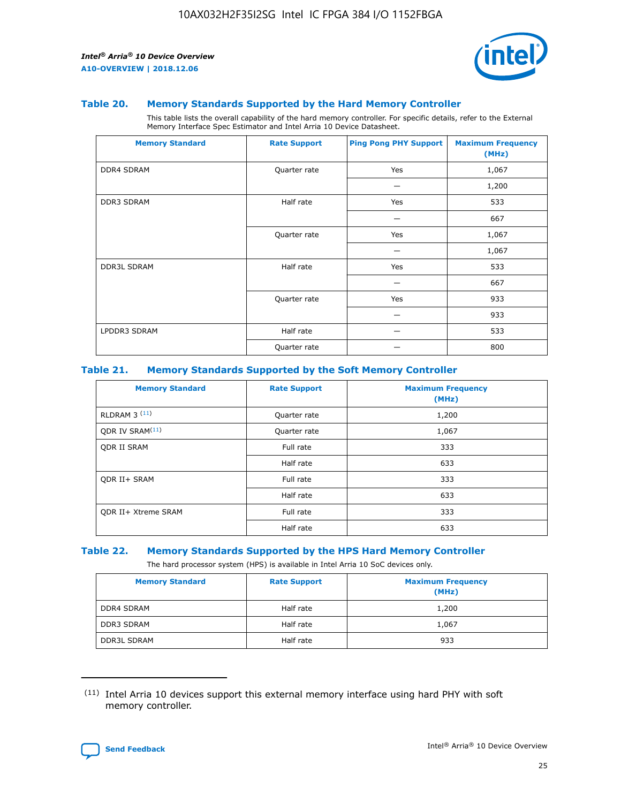

#### **Table 20. Memory Standards Supported by the Hard Memory Controller**

This table lists the overall capability of the hard memory controller. For specific details, refer to the External Memory Interface Spec Estimator and Intel Arria 10 Device Datasheet.

| <b>Memory Standard</b> | <b>Rate Support</b> | <b>Ping Pong PHY Support</b> | <b>Maximum Frequency</b><br>(MHz) |
|------------------------|---------------------|------------------------------|-----------------------------------|
| <b>DDR4 SDRAM</b>      | Quarter rate        | Yes                          | 1,067                             |
|                        |                     |                              | 1,200                             |
| DDR3 SDRAM             | Half rate           | Yes                          | 533                               |
|                        |                     |                              | 667                               |
|                        | Quarter rate        | Yes                          | 1,067                             |
|                        |                     |                              | 1,067                             |
| <b>DDR3L SDRAM</b>     | Half rate           | Yes                          | 533                               |
|                        |                     |                              | 667                               |
|                        | Quarter rate        | Yes                          | 933                               |
|                        |                     |                              | 933                               |
| LPDDR3 SDRAM           | Half rate           |                              | 533                               |
|                        | Quarter rate        |                              | 800                               |

#### **Table 21. Memory Standards Supported by the Soft Memory Controller**

| <b>Memory Standard</b>      | <b>Rate Support</b> | <b>Maximum Frequency</b><br>(MHz) |
|-----------------------------|---------------------|-----------------------------------|
| <b>RLDRAM 3 (11)</b>        | Quarter rate        | 1,200                             |
| ODR IV SRAM <sup>(11)</sup> | Quarter rate        | 1,067                             |
| <b>ODR II SRAM</b>          | Full rate           | 333                               |
|                             | Half rate           | 633                               |
| <b>ODR II+ SRAM</b>         | Full rate           | 333                               |
|                             | Half rate           | 633                               |
| <b>ODR II+ Xtreme SRAM</b>  | Full rate           | 333                               |
|                             | Half rate           | 633                               |

#### **Table 22. Memory Standards Supported by the HPS Hard Memory Controller**

The hard processor system (HPS) is available in Intel Arria 10 SoC devices only.

| <b>Memory Standard</b> | <b>Rate Support</b> | <b>Maximum Frequency</b><br>(MHz) |
|------------------------|---------------------|-----------------------------------|
| <b>DDR4 SDRAM</b>      | Half rate           | 1,200                             |
| <b>DDR3 SDRAM</b>      | Half rate           | 1,067                             |
| <b>DDR3L SDRAM</b>     | Half rate           | 933                               |

<sup>(11)</sup> Intel Arria 10 devices support this external memory interface using hard PHY with soft memory controller.

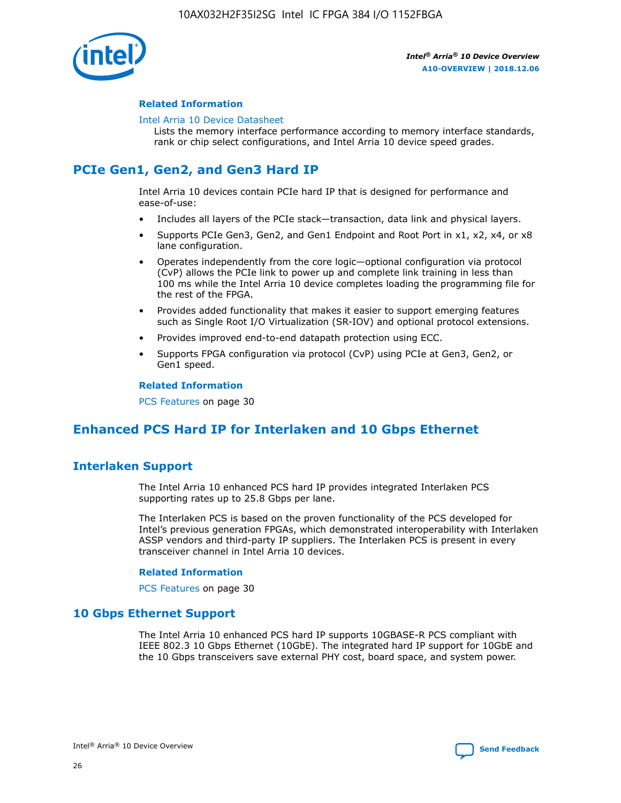

### **Related Information**

#### [Intel Arria 10 Device Datasheet](https://www.intel.com/content/www/us/en/programmable/documentation/mcn1413182292568.html#mcn1413182153340)

Lists the memory interface performance according to memory interface standards, rank or chip select configurations, and Intel Arria 10 device speed grades.

# **PCIe Gen1, Gen2, and Gen3 Hard IP**

Intel Arria 10 devices contain PCIe hard IP that is designed for performance and ease-of-use:

- Includes all layers of the PCIe stack—transaction, data link and physical layers.
- Supports PCIe Gen3, Gen2, and Gen1 Endpoint and Root Port in x1, x2, x4, or x8 lane configuration.
- Operates independently from the core logic—optional configuration via protocol (CvP) allows the PCIe link to power up and complete link training in less than 100 ms while the Intel Arria 10 device completes loading the programming file for the rest of the FPGA.
- Provides added functionality that makes it easier to support emerging features such as Single Root I/O Virtualization (SR-IOV) and optional protocol extensions.
- Provides improved end-to-end datapath protection using ECC.
- Supports FPGA configuration via protocol (CvP) using PCIe at Gen3, Gen2, or Gen1 speed.

#### **Related Information**

PCS Features on page 30

# **Enhanced PCS Hard IP for Interlaken and 10 Gbps Ethernet**

## **Interlaken Support**

The Intel Arria 10 enhanced PCS hard IP provides integrated Interlaken PCS supporting rates up to 25.8 Gbps per lane.

The Interlaken PCS is based on the proven functionality of the PCS developed for Intel's previous generation FPGAs, which demonstrated interoperability with Interlaken ASSP vendors and third-party IP suppliers. The Interlaken PCS is present in every transceiver channel in Intel Arria 10 devices.

#### **Related Information**

PCS Features on page 30

## **10 Gbps Ethernet Support**

The Intel Arria 10 enhanced PCS hard IP supports 10GBASE-R PCS compliant with IEEE 802.3 10 Gbps Ethernet (10GbE). The integrated hard IP support for 10GbE and the 10 Gbps transceivers save external PHY cost, board space, and system power.

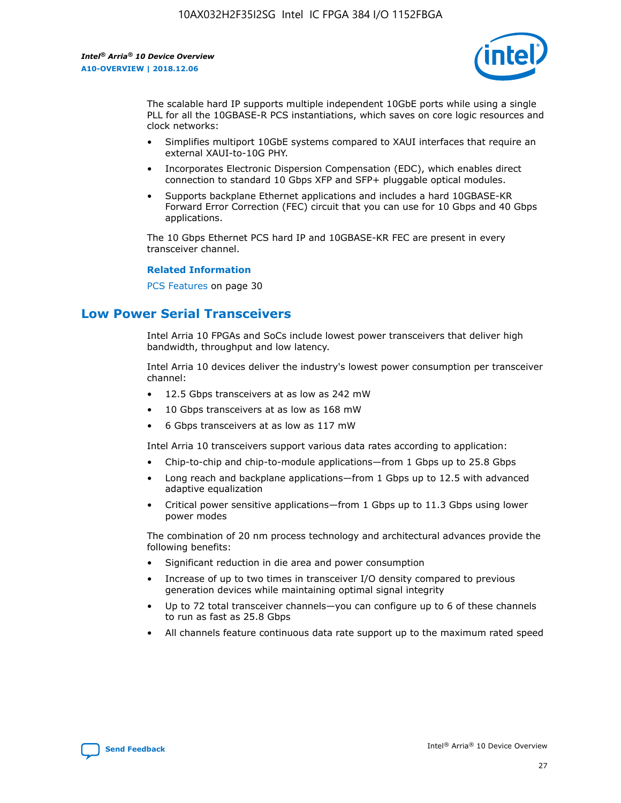

The scalable hard IP supports multiple independent 10GbE ports while using a single PLL for all the 10GBASE-R PCS instantiations, which saves on core logic resources and clock networks:

- Simplifies multiport 10GbE systems compared to XAUI interfaces that require an external XAUI-to-10G PHY.
- Incorporates Electronic Dispersion Compensation (EDC), which enables direct connection to standard 10 Gbps XFP and SFP+ pluggable optical modules.
- Supports backplane Ethernet applications and includes a hard 10GBASE-KR Forward Error Correction (FEC) circuit that you can use for 10 Gbps and 40 Gbps applications.

The 10 Gbps Ethernet PCS hard IP and 10GBASE-KR FEC are present in every transceiver channel.

#### **Related Information**

PCS Features on page 30

# **Low Power Serial Transceivers**

Intel Arria 10 FPGAs and SoCs include lowest power transceivers that deliver high bandwidth, throughput and low latency.

Intel Arria 10 devices deliver the industry's lowest power consumption per transceiver channel:

- 12.5 Gbps transceivers at as low as 242 mW
- 10 Gbps transceivers at as low as 168 mW
- 6 Gbps transceivers at as low as 117 mW

Intel Arria 10 transceivers support various data rates according to application:

- Chip-to-chip and chip-to-module applications—from 1 Gbps up to 25.8 Gbps
- Long reach and backplane applications—from 1 Gbps up to 12.5 with advanced adaptive equalization
- Critical power sensitive applications—from 1 Gbps up to 11.3 Gbps using lower power modes

The combination of 20 nm process technology and architectural advances provide the following benefits:

- Significant reduction in die area and power consumption
- Increase of up to two times in transceiver I/O density compared to previous generation devices while maintaining optimal signal integrity
- Up to 72 total transceiver channels—you can configure up to 6 of these channels to run as fast as 25.8 Gbps
- All channels feature continuous data rate support up to the maximum rated speed

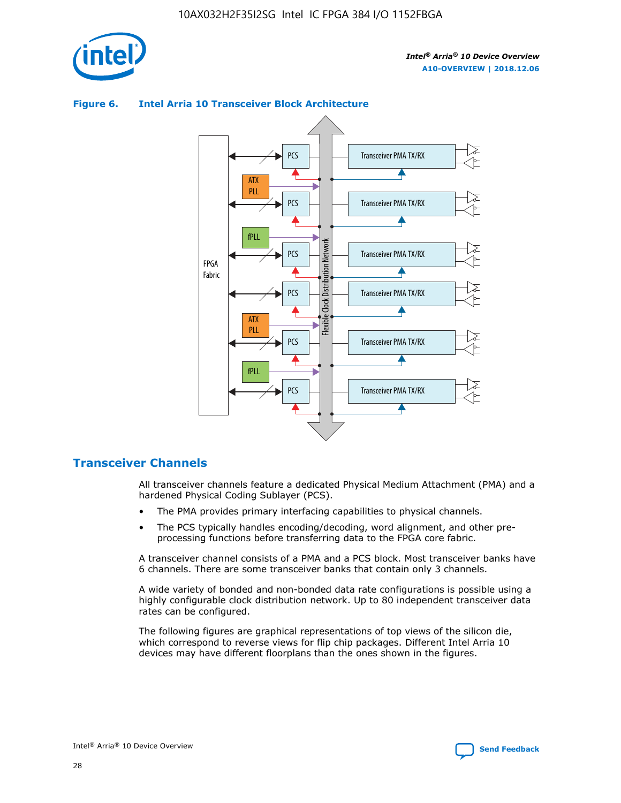

## **Figure 6. Intel Arria 10 Transceiver Block Architecture**



## **Transceiver Channels**

All transceiver channels feature a dedicated Physical Medium Attachment (PMA) and a hardened Physical Coding Sublayer (PCS).

- The PMA provides primary interfacing capabilities to physical channels.
- The PCS typically handles encoding/decoding, word alignment, and other preprocessing functions before transferring data to the FPGA core fabric.

A transceiver channel consists of a PMA and a PCS block. Most transceiver banks have 6 channels. There are some transceiver banks that contain only 3 channels.

A wide variety of bonded and non-bonded data rate configurations is possible using a highly configurable clock distribution network. Up to 80 independent transceiver data rates can be configured.

The following figures are graphical representations of top views of the silicon die, which correspond to reverse views for flip chip packages. Different Intel Arria 10 devices may have different floorplans than the ones shown in the figures.

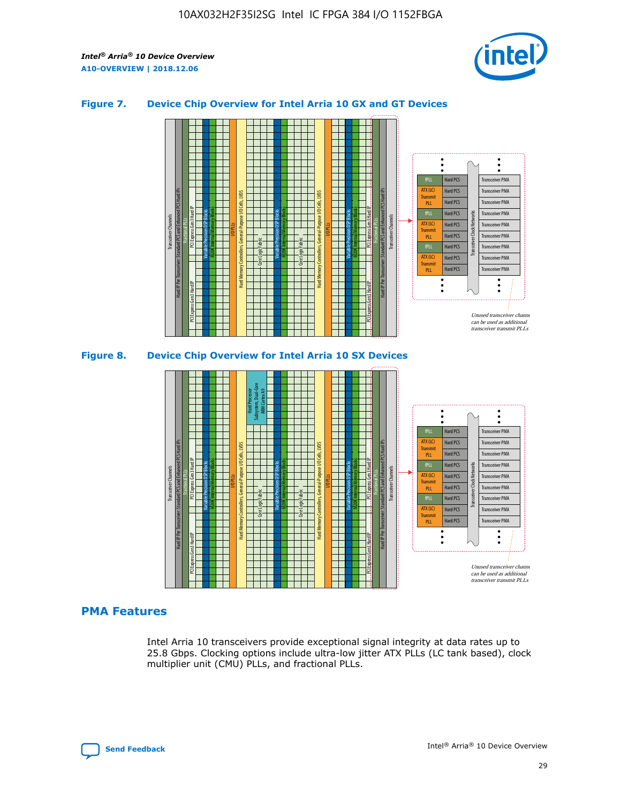

## **Figure 7. Device Chip Overview for Intel Arria 10 GX and GT Devices**





## **PMA Features**

Intel Arria 10 transceivers provide exceptional signal integrity at data rates up to 25.8 Gbps. Clocking options include ultra-low jitter ATX PLLs (LC tank based), clock multiplier unit (CMU) PLLs, and fractional PLLs.

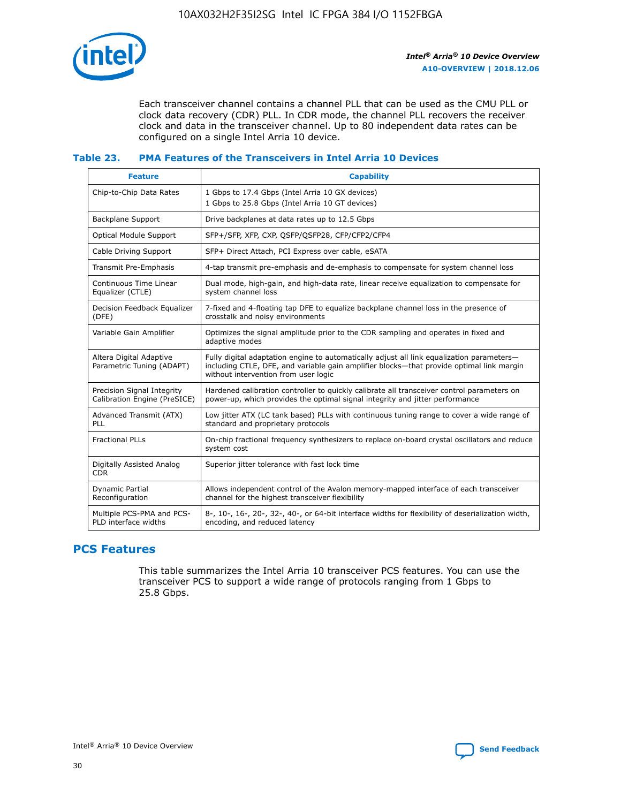

Each transceiver channel contains a channel PLL that can be used as the CMU PLL or clock data recovery (CDR) PLL. In CDR mode, the channel PLL recovers the receiver clock and data in the transceiver channel. Up to 80 independent data rates can be configured on a single Intel Arria 10 device.

## **Table 23. PMA Features of the Transceivers in Intel Arria 10 Devices**

| <b>Feature</b>                                             | <b>Capability</b>                                                                                                                                                                                                             |
|------------------------------------------------------------|-------------------------------------------------------------------------------------------------------------------------------------------------------------------------------------------------------------------------------|
| Chip-to-Chip Data Rates                                    | 1 Gbps to 17.4 Gbps (Intel Arria 10 GX devices)<br>1 Gbps to 25.8 Gbps (Intel Arria 10 GT devices)                                                                                                                            |
| <b>Backplane Support</b>                                   | Drive backplanes at data rates up to 12.5 Gbps                                                                                                                                                                                |
| <b>Optical Module Support</b>                              | SFP+/SFP, XFP, CXP, QSFP/QSFP28, CFP/CFP2/CFP4                                                                                                                                                                                |
| Cable Driving Support                                      | SFP+ Direct Attach, PCI Express over cable, eSATA                                                                                                                                                                             |
| Transmit Pre-Emphasis                                      | 4-tap transmit pre-emphasis and de-emphasis to compensate for system channel loss                                                                                                                                             |
| Continuous Time Linear<br>Equalizer (CTLE)                 | Dual mode, high-gain, and high-data rate, linear receive equalization to compensate for<br>system channel loss                                                                                                                |
| Decision Feedback Equalizer<br>(DFE)                       | 7-fixed and 4-floating tap DFE to equalize backplane channel loss in the presence of<br>crosstalk and noisy environments                                                                                                      |
| Variable Gain Amplifier                                    | Optimizes the signal amplitude prior to the CDR sampling and operates in fixed and<br>adaptive modes                                                                                                                          |
| Altera Digital Adaptive<br>Parametric Tuning (ADAPT)       | Fully digital adaptation engine to automatically adjust all link equalization parameters-<br>including CTLE, DFE, and variable gain amplifier blocks—that provide optimal link margin<br>without intervention from user logic |
| Precision Signal Integrity<br>Calibration Engine (PreSICE) | Hardened calibration controller to quickly calibrate all transceiver control parameters on<br>power-up, which provides the optimal signal integrity and jitter performance                                                    |
| Advanced Transmit (ATX)<br><b>PLL</b>                      | Low jitter ATX (LC tank based) PLLs with continuous tuning range to cover a wide range of<br>standard and proprietary protocols                                                                                               |
| <b>Fractional PLLs</b>                                     | On-chip fractional frequency synthesizers to replace on-board crystal oscillators and reduce<br>system cost                                                                                                                   |
| Digitally Assisted Analog<br><b>CDR</b>                    | Superior jitter tolerance with fast lock time                                                                                                                                                                                 |
| <b>Dynamic Partial</b><br>Reconfiguration                  | Allows independent control of the Avalon memory-mapped interface of each transceiver<br>channel for the highest transceiver flexibility                                                                                       |
| Multiple PCS-PMA and PCS-<br>PLD interface widths          | 8-, 10-, 16-, 20-, 32-, 40-, or 64-bit interface widths for flexibility of deserialization width,<br>encoding, and reduced latency                                                                                            |

## **PCS Features**

This table summarizes the Intel Arria 10 transceiver PCS features. You can use the transceiver PCS to support a wide range of protocols ranging from 1 Gbps to 25.8 Gbps.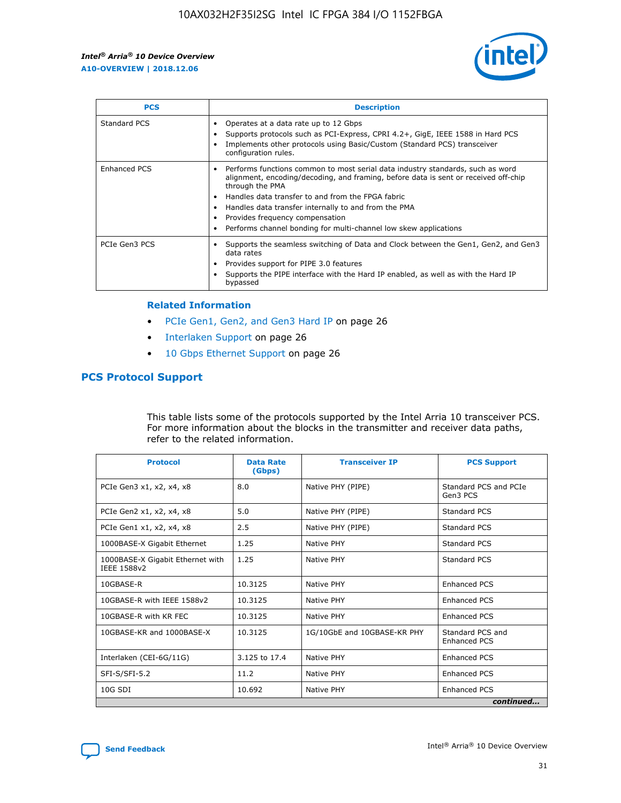

| <b>PCS</b>    | <b>Description</b>                                                                                                                                                                                                                                                                                                                                                                                                          |
|---------------|-----------------------------------------------------------------------------------------------------------------------------------------------------------------------------------------------------------------------------------------------------------------------------------------------------------------------------------------------------------------------------------------------------------------------------|
| Standard PCS  | Operates at a data rate up to 12 Gbps<br>Supports protocols such as PCI-Express, CPRI 4.2+, GigE, IEEE 1588 in Hard PCS<br>Implements other protocols using Basic/Custom (Standard PCS) transceiver<br>configuration rules.                                                                                                                                                                                                 |
| Enhanced PCS  | Performs functions common to most serial data industry standards, such as word<br>$\bullet$<br>alignment, encoding/decoding, and framing, before data is sent or received off-chip<br>through the PMA<br>• Handles data transfer to and from the FPGA fabric<br>Handles data transfer internally to and from the PMA<br>Provides frequency compensation<br>Performs channel bonding for multi-channel low skew applications |
| PCIe Gen3 PCS | Supports the seamless switching of Data and Clock between the Gen1, Gen2, and Gen3<br>data rates<br>Provides support for PIPE 3.0 features<br>Supports the PIPE interface with the Hard IP enabled, as well as with the Hard IP<br>bypassed                                                                                                                                                                                 |

#### **Related Information**

- PCIe Gen1, Gen2, and Gen3 Hard IP on page 26
- Interlaken Support on page 26
- 10 Gbps Ethernet Support on page 26

## **PCS Protocol Support**

This table lists some of the protocols supported by the Intel Arria 10 transceiver PCS. For more information about the blocks in the transmitter and receiver data paths, refer to the related information.

| <b>Protocol</b>                                 | <b>Data Rate</b><br>(Gbps) | <b>Transceiver IP</b>       | <b>PCS Support</b>                      |
|-------------------------------------------------|----------------------------|-----------------------------|-----------------------------------------|
| PCIe Gen3 x1, x2, x4, x8                        | 8.0                        | Native PHY (PIPE)           | Standard PCS and PCIe<br>Gen3 PCS       |
| PCIe Gen2 x1, x2, x4, x8                        | 5.0                        | Native PHY (PIPE)           | <b>Standard PCS</b>                     |
| PCIe Gen1 x1, x2, x4, x8                        | 2.5                        | Native PHY (PIPE)           | Standard PCS                            |
| 1000BASE-X Gigabit Ethernet                     | 1.25                       | Native PHY                  | <b>Standard PCS</b>                     |
| 1000BASE-X Gigabit Ethernet with<br>IEEE 1588v2 | 1.25                       | Native PHY                  | Standard PCS                            |
| 10GBASE-R                                       | 10.3125                    | Native PHY                  | <b>Enhanced PCS</b>                     |
| 10GBASE-R with IEEE 1588v2                      | 10.3125                    | Native PHY                  | <b>Enhanced PCS</b>                     |
| 10GBASE-R with KR FEC                           | 10.3125                    | Native PHY                  | <b>Enhanced PCS</b>                     |
| 10GBASE-KR and 1000BASE-X                       | 10.3125                    | 1G/10GbE and 10GBASE-KR PHY | Standard PCS and<br><b>Enhanced PCS</b> |
| Interlaken (CEI-6G/11G)                         | 3.125 to 17.4              | Native PHY                  | <b>Enhanced PCS</b>                     |
| SFI-S/SFI-5.2                                   | 11.2                       | Native PHY                  | <b>Enhanced PCS</b>                     |
| $10G$ SDI                                       | 10.692                     | Native PHY                  | <b>Enhanced PCS</b>                     |
|                                                 |                            |                             | continued                               |

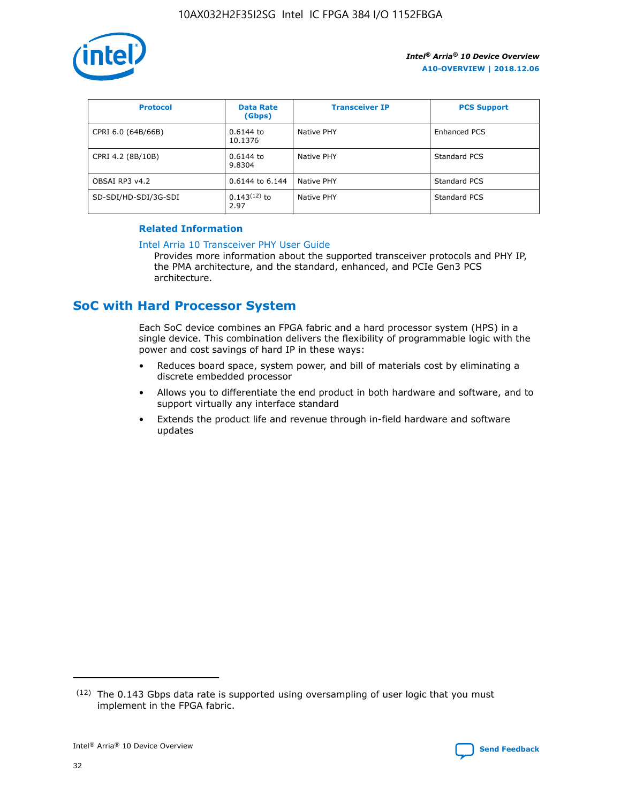

| <b>Protocol</b>      | <b>Data Rate</b><br>(Gbps) | <b>Transceiver IP</b> | <b>PCS Support</b> |
|----------------------|----------------------------|-----------------------|--------------------|
| CPRI 6.0 (64B/66B)   | 0.6144 to<br>10.1376       | Native PHY            | Enhanced PCS       |
| CPRI 4.2 (8B/10B)    | 0.6144 to<br>9.8304        | Native PHY            | Standard PCS       |
| OBSAI RP3 v4.2       | 0.6144 to 6.144            | Native PHY            | Standard PCS       |
| SD-SDI/HD-SDI/3G-SDI | $0.143(12)$ to<br>2.97     | Native PHY            | Standard PCS       |

## **Related Information**

#### [Intel Arria 10 Transceiver PHY User Guide](https://www.intel.com/content/www/us/en/programmable/documentation/nik1398707230472.html#nik1398707091164)

Provides more information about the supported transceiver protocols and PHY IP, the PMA architecture, and the standard, enhanced, and PCIe Gen3 PCS architecture.

# **SoC with Hard Processor System**

Each SoC device combines an FPGA fabric and a hard processor system (HPS) in a single device. This combination delivers the flexibility of programmable logic with the power and cost savings of hard IP in these ways:

- Reduces board space, system power, and bill of materials cost by eliminating a discrete embedded processor
- Allows you to differentiate the end product in both hardware and software, and to support virtually any interface standard
- Extends the product life and revenue through in-field hardware and software updates

 $(12)$  The 0.143 Gbps data rate is supported using oversampling of user logic that you must implement in the FPGA fabric.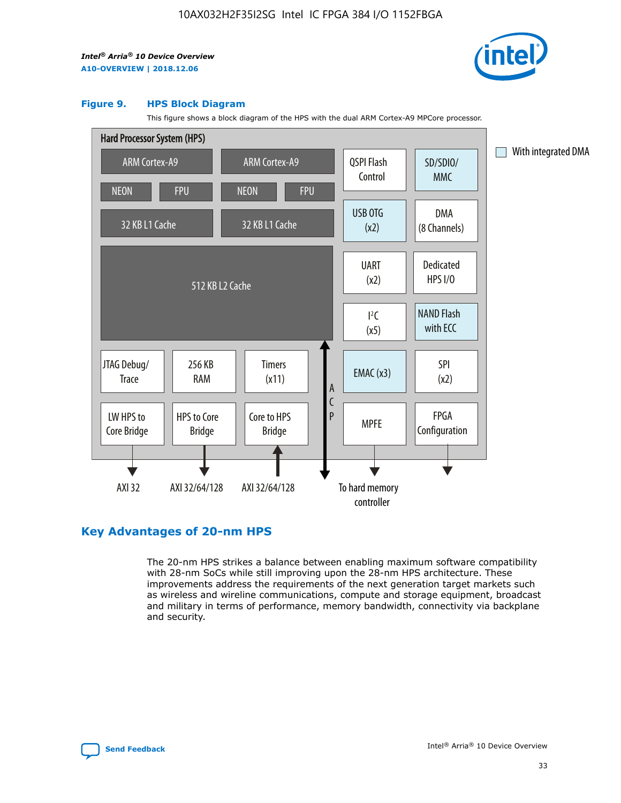

#### **Figure 9. HPS Block Diagram**

This figure shows a block diagram of the HPS with the dual ARM Cortex-A9 MPCore processor.



## **Key Advantages of 20-nm HPS**

The 20-nm HPS strikes a balance between enabling maximum software compatibility with 28-nm SoCs while still improving upon the 28-nm HPS architecture. These improvements address the requirements of the next generation target markets such as wireless and wireline communications, compute and storage equipment, broadcast and military in terms of performance, memory bandwidth, connectivity via backplane and security.

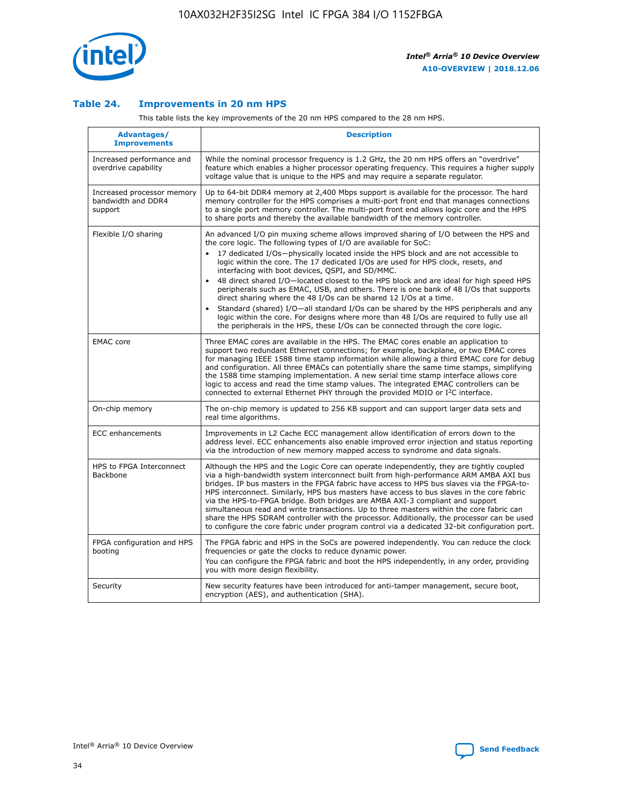

## **Table 24. Improvements in 20 nm HPS**

This table lists the key improvements of the 20 nm HPS compared to the 28 nm HPS.

| Advantages/<br><b>Improvements</b>                          | <b>Description</b>                                                                                                                                                                                                                                                                                                                                                                                                                                                                                                                                                                                                                                                                                                                                                                                                                                                                                                      |
|-------------------------------------------------------------|-------------------------------------------------------------------------------------------------------------------------------------------------------------------------------------------------------------------------------------------------------------------------------------------------------------------------------------------------------------------------------------------------------------------------------------------------------------------------------------------------------------------------------------------------------------------------------------------------------------------------------------------------------------------------------------------------------------------------------------------------------------------------------------------------------------------------------------------------------------------------------------------------------------------------|
| Increased performance and<br>overdrive capability           | While the nominal processor frequency is 1.2 GHz, the 20 nm HPS offers an "overdrive"<br>feature which enables a higher processor operating frequency. This requires a higher supply<br>voltage value that is unique to the HPS and may require a separate regulator.                                                                                                                                                                                                                                                                                                                                                                                                                                                                                                                                                                                                                                                   |
| Increased processor memory<br>bandwidth and DDR4<br>support | Up to 64-bit DDR4 memory at 2,400 Mbps support is available for the processor. The hard<br>memory controller for the HPS comprises a multi-port front end that manages connections<br>to a single port memory controller. The multi-port front end allows logic core and the HPS<br>to share ports and thereby the available bandwidth of the memory controller.                                                                                                                                                                                                                                                                                                                                                                                                                                                                                                                                                        |
| Flexible I/O sharing                                        | An advanced I/O pin muxing scheme allows improved sharing of I/O between the HPS and<br>the core logic. The following types of I/O are available for SoC:<br>17 dedicated I/Os-physically located inside the HPS block and are not accessible to<br>logic within the core. The 17 dedicated I/Os are used for HPS clock, resets, and<br>interfacing with boot devices, QSPI, and SD/MMC.<br>48 direct shared I/O-located closest to the HPS block and are ideal for high speed HPS<br>peripherals such as EMAC, USB, and others. There is one bank of 48 I/Os that supports<br>direct sharing where the 48 I/Os can be shared 12 I/Os at a time.<br>Standard (shared) I/O-all standard I/Os can be shared by the HPS peripherals and any<br>logic within the core. For designs where more than 48 I/Os are reguired to fully use all<br>the peripherals in the HPS, these I/Os can be connected through the core logic. |
| <b>EMAC</b> core                                            | Three EMAC cores are available in the HPS. The EMAC cores enable an application to<br>support two redundant Ethernet connections; for example, backplane, or two EMAC cores<br>for managing IEEE 1588 time stamp information while allowing a third EMAC core for debug<br>and configuration. All three EMACs can potentially share the same time stamps, simplifying<br>the 1588 time stamping implementation. A new serial time stamp interface allows core<br>logic to access and read the time stamp values. The integrated EMAC controllers can be<br>connected to external Ethernet PHY through the provided MDIO or I <sup>2</sup> C interface.                                                                                                                                                                                                                                                                  |
| On-chip memory                                              | The on-chip memory is updated to 256 KB support and can support larger data sets and<br>real time algorithms.                                                                                                                                                                                                                                                                                                                                                                                                                                                                                                                                                                                                                                                                                                                                                                                                           |
| <b>ECC</b> enhancements                                     | Improvements in L2 Cache ECC management allow identification of errors down to the<br>address level. ECC enhancements also enable improved error injection and status reporting<br>via the introduction of new memory mapped access to syndrome and data signals.                                                                                                                                                                                                                                                                                                                                                                                                                                                                                                                                                                                                                                                       |
| HPS to FPGA Interconnect<br>Backbone                        | Although the HPS and the Logic Core can operate independently, they are tightly coupled<br>via a high-bandwidth system interconnect built from high-performance ARM AMBA AXI bus<br>bridges. IP bus masters in the FPGA fabric have access to HPS bus slaves via the FPGA-to-<br>HPS interconnect. Similarly, HPS bus masters have access to bus slaves in the core fabric<br>via the HPS-to-FPGA bridge. Both bridges are AMBA AXI-3 compliant and support<br>simultaneous read and write transactions. Up to three masters within the core fabric can<br>share the HPS SDRAM controller with the processor. Additionally, the processor can be used<br>to configure the core fabric under program control via a dedicated 32-bit configuration port.                                                                                                                                                                  |
| FPGA configuration and HPS<br>booting                       | The FPGA fabric and HPS in the SoCs are powered independently. You can reduce the clock<br>frequencies or gate the clocks to reduce dynamic power.<br>You can configure the FPGA fabric and boot the HPS independently, in any order, providing<br>you with more design flexibility.                                                                                                                                                                                                                                                                                                                                                                                                                                                                                                                                                                                                                                    |
| Security                                                    | New security features have been introduced for anti-tamper management, secure boot,<br>encryption (AES), and authentication (SHA).                                                                                                                                                                                                                                                                                                                                                                                                                                                                                                                                                                                                                                                                                                                                                                                      |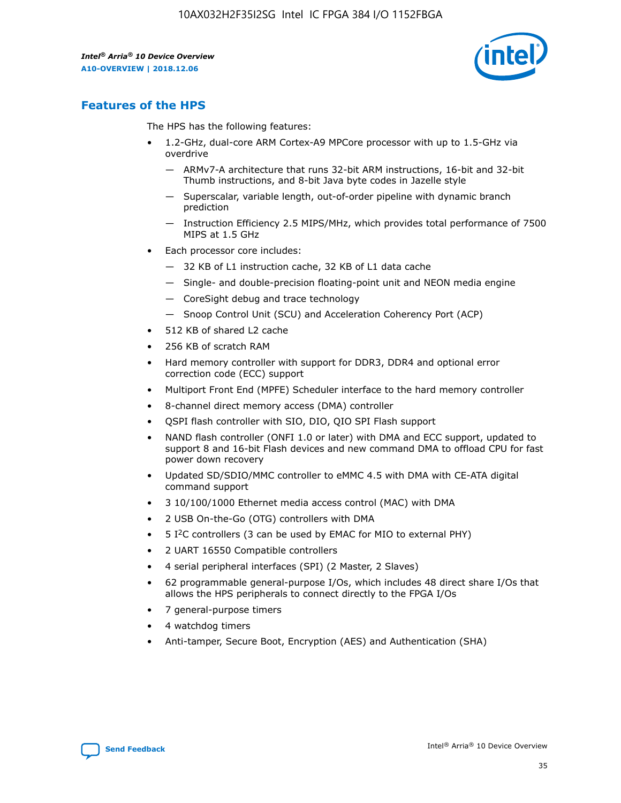

# **Features of the HPS**

The HPS has the following features:

- 1.2-GHz, dual-core ARM Cortex-A9 MPCore processor with up to 1.5-GHz via overdrive
	- ARMv7-A architecture that runs 32-bit ARM instructions, 16-bit and 32-bit Thumb instructions, and 8-bit Java byte codes in Jazelle style
	- Superscalar, variable length, out-of-order pipeline with dynamic branch prediction
	- Instruction Efficiency 2.5 MIPS/MHz, which provides total performance of 7500 MIPS at 1.5 GHz
- Each processor core includes:
	- 32 KB of L1 instruction cache, 32 KB of L1 data cache
	- Single- and double-precision floating-point unit and NEON media engine
	- CoreSight debug and trace technology
	- Snoop Control Unit (SCU) and Acceleration Coherency Port (ACP)
- 512 KB of shared L2 cache
- 256 KB of scratch RAM
- Hard memory controller with support for DDR3, DDR4 and optional error correction code (ECC) support
- Multiport Front End (MPFE) Scheduler interface to the hard memory controller
- 8-channel direct memory access (DMA) controller
- QSPI flash controller with SIO, DIO, QIO SPI Flash support
- NAND flash controller (ONFI 1.0 or later) with DMA and ECC support, updated to support 8 and 16-bit Flash devices and new command DMA to offload CPU for fast power down recovery
- Updated SD/SDIO/MMC controller to eMMC 4.5 with DMA with CE-ATA digital command support
- 3 10/100/1000 Ethernet media access control (MAC) with DMA
- 2 USB On-the-Go (OTG) controllers with DMA
- $\bullet$  5 I<sup>2</sup>C controllers (3 can be used by EMAC for MIO to external PHY)
- 2 UART 16550 Compatible controllers
- 4 serial peripheral interfaces (SPI) (2 Master, 2 Slaves)
- 62 programmable general-purpose I/Os, which includes 48 direct share I/Os that allows the HPS peripherals to connect directly to the FPGA I/Os
- 7 general-purpose timers
- 4 watchdog timers
- Anti-tamper, Secure Boot, Encryption (AES) and Authentication (SHA)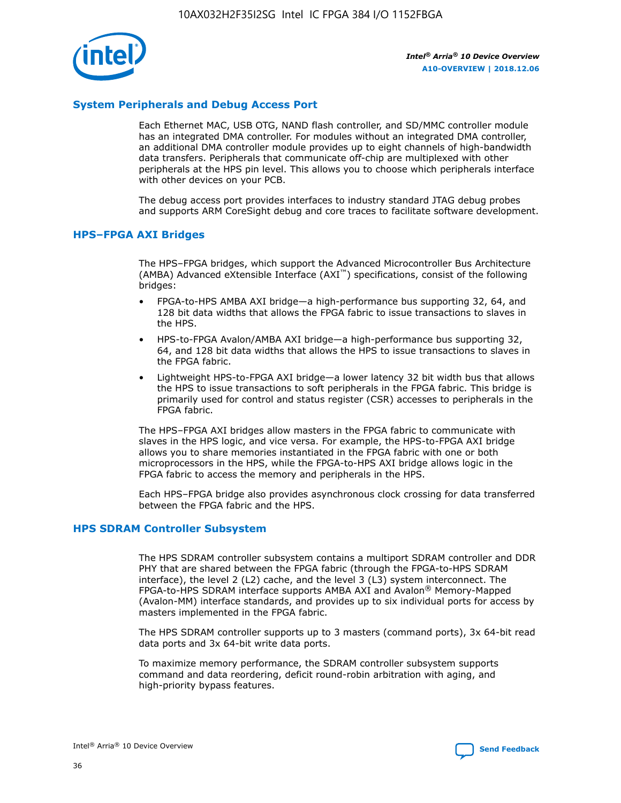

## **System Peripherals and Debug Access Port**

Each Ethernet MAC, USB OTG, NAND flash controller, and SD/MMC controller module has an integrated DMA controller. For modules without an integrated DMA controller, an additional DMA controller module provides up to eight channels of high-bandwidth data transfers. Peripherals that communicate off-chip are multiplexed with other peripherals at the HPS pin level. This allows you to choose which peripherals interface with other devices on your PCB.

The debug access port provides interfaces to industry standard JTAG debug probes and supports ARM CoreSight debug and core traces to facilitate software development.

#### **HPS–FPGA AXI Bridges**

The HPS–FPGA bridges, which support the Advanced Microcontroller Bus Architecture (AMBA) Advanced eXtensible Interface (AXI™) specifications, consist of the following bridges:

- FPGA-to-HPS AMBA AXI bridge—a high-performance bus supporting 32, 64, and 128 bit data widths that allows the FPGA fabric to issue transactions to slaves in the HPS.
- HPS-to-FPGA Avalon/AMBA AXI bridge—a high-performance bus supporting 32, 64, and 128 bit data widths that allows the HPS to issue transactions to slaves in the FPGA fabric.
- Lightweight HPS-to-FPGA AXI bridge—a lower latency 32 bit width bus that allows the HPS to issue transactions to soft peripherals in the FPGA fabric. This bridge is primarily used for control and status register (CSR) accesses to peripherals in the FPGA fabric.

The HPS–FPGA AXI bridges allow masters in the FPGA fabric to communicate with slaves in the HPS logic, and vice versa. For example, the HPS-to-FPGA AXI bridge allows you to share memories instantiated in the FPGA fabric with one or both microprocessors in the HPS, while the FPGA-to-HPS AXI bridge allows logic in the FPGA fabric to access the memory and peripherals in the HPS.

Each HPS–FPGA bridge also provides asynchronous clock crossing for data transferred between the FPGA fabric and the HPS.

#### **HPS SDRAM Controller Subsystem**

The HPS SDRAM controller subsystem contains a multiport SDRAM controller and DDR PHY that are shared between the FPGA fabric (through the FPGA-to-HPS SDRAM interface), the level 2 (L2) cache, and the level 3 (L3) system interconnect. The FPGA-to-HPS SDRAM interface supports AMBA AXI and Avalon® Memory-Mapped (Avalon-MM) interface standards, and provides up to six individual ports for access by masters implemented in the FPGA fabric.

The HPS SDRAM controller supports up to 3 masters (command ports), 3x 64-bit read data ports and 3x 64-bit write data ports.

To maximize memory performance, the SDRAM controller subsystem supports command and data reordering, deficit round-robin arbitration with aging, and high-priority bypass features.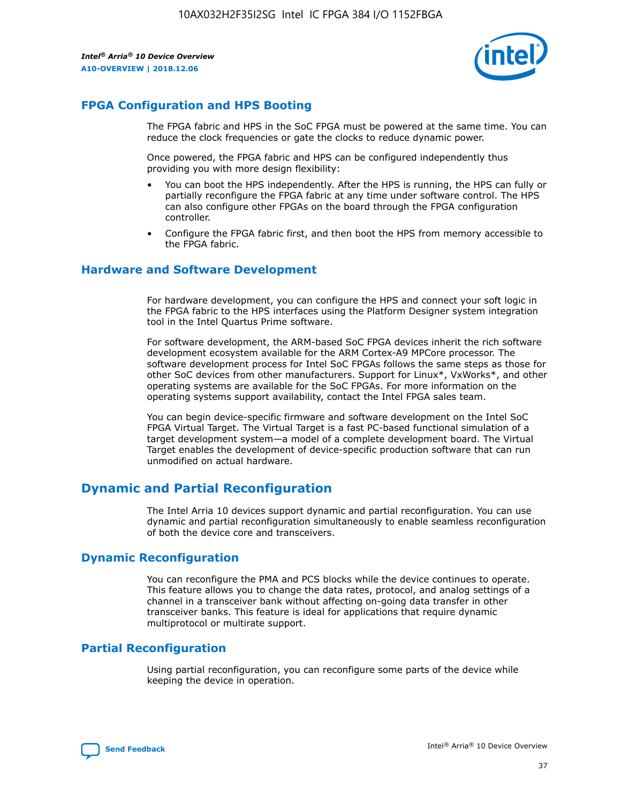

## **FPGA Configuration and HPS Booting**

The FPGA fabric and HPS in the SoC FPGA must be powered at the same time. You can reduce the clock frequencies or gate the clocks to reduce dynamic power.

Once powered, the FPGA fabric and HPS can be configured independently thus providing you with more design flexibility:

- You can boot the HPS independently. After the HPS is running, the HPS can fully or partially reconfigure the FPGA fabric at any time under software control. The HPS can also configure other FPGAs on the board through the FPGA configuration controller.
- Configure the FPGA fabric first, and then boot the HPS from memory accessible to the FPGA fabric.

## **Hardware and Software Development**

For hardware development, you can configure the HPS and connect your soft logic in the FPGA fabric to the HPS interfaces using the Platform Designer system integration tool in the Intel Quartus Prime software.

For software development, the ARM-based SoC FPGA devices inherit the rich software development ecosystem available for the ARM Cortex-A9 MPCore processor. The software development process for Intel SoC FPGAs follows the same steps as those for other SoC devices from other manufacturers. Support for Linux\*, VxWorks\*, and other operating systems are available for the SoC FPGAs. For more information on the operating systems support availability, contact the Intel FPGA sales team.

You can begin device-specific firmware and software development on the Intel SoC FPGA Virtual Target. The Virtual Target is a fast PC-based functional simulation of a target development system—a model of a complete development board. The Virtual Target enables the development of device-specific production software that can run unmodified on actual hardware.

## **Dynamic and Partial Reconfiguration**

The Intel Arria 10 devices support dynamic and partial reconfiguration. You can use dynamic and partial reconfiguration simultaneously to enable seamless reconfiguration of both the device core and transceivers.

## **Dynamic Reconfiguration**

You can reconfigure the PMA and PCS blocks while the device continues to operate. This feature allows you to change the data rates, protocol, and analog settings of a channel in a transceiver bank without affecting on-going data transfer in other transceiver banks. This feature is ideal for applications that require dynamic multiprotocol or multirate support.

## **Partial Reconfiguration**

Using partial reconfiguration, you can reconfigure some parts of the device while keeping the device in operation.

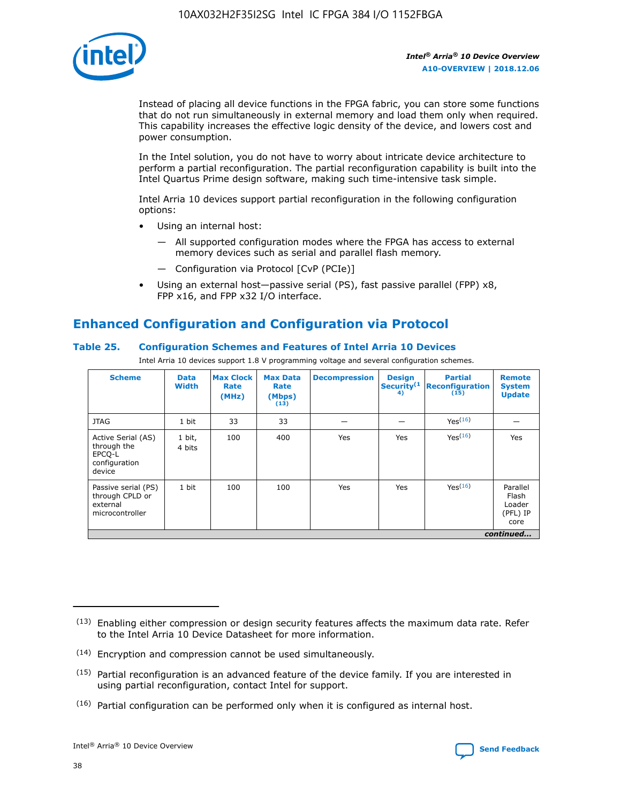

Instead of placing all device functions in the FPGA fabric, you can store some functions that do not run simultaneously in external memory and load them only when required. This capability increases the effective logic density of the device, and lowers cost and power consumption.

In the Intel solution, you do not have to worry about intricate device architecture to perform a partial reconfiguration. The partial reconfiguration capability is built into the Intel Quartus Prime design software, making such time-intensive task simple.

Intel Arria 10 devices support partial reconfiguration in the following configuration options:

- Using an internal host:
	- All supported configuration modes where the FPGA has access to external memory devices such as serial and parallel flash memory.
	- Configuration via Protocol [CvP (PCIe)]
- Using an external host—passive serial (PS), fast passive parallel (FPP) x8, FPP x16, and FPP x32 I/O interface.

# **Enhanced Configuration and Configuration via Protocol**

## **Table 25. Configuration Schemes and Features of Intel Arria 10 Devices**

Intel Arria 10 devices support 1.8 V programming voltage and several configuration schemes.

| <b>Scheme</b>                                                          | <b>Data</b><br><b>Width</b> | <b>Max Clock</b><br>Rate<br>(MHz) | <b>Max Data</b><br>Rate<br>(Mbps)<br>(13) | <b>Decompression</b> | <b>Design</b><br>Security <sup>(1</sup><br>4) | <b>Partial</b><br>Reconfiguration<br>(15) | <b>Remote</b><br><b>System</b><br><b>Update</b> |
|------------------------------------------------------------------------|-----------------------------|-----------------------------------|-------------------------------------------|----------------------|-----------------------------------------------|-------------------------------------------|-------------------------------------------------|
| <b>JTAG</b>                                                            | 1 bit                       | 33                                | 33                                        |                      |                                               | Yes(16)                                   |                                                 |
| Active Serial (AS)<br>through the<br>EPCO-L<br>configuration<br>device | 1 bit,<br>4 bits            | 100                               | 400                                       | Yes                  | Yes                                           | Yes(16)                                   | Yes                                             |
| Passive serial (PS)<br>through CPLD or<br>external<br>microcontroller  | 1 bit                       | 100                               | 100                                       | Yes                  | Yes                                           | Yes <sup>(16)</sup>                       | Parallel<br>Flash<br>Loader<br>(PFL) IP<br>core |
|                                                                        | continued                   |                                   |                                           |                      |                                               |                                           |                                                 |

<sup>(13)</sup> Enabling either compression or design security features affects the maximum data rate. Refer to the Intel Arria 10 Device Datasheet for more information.

<sup>(14)</sup> Encryption and compression cannot be used simultaneously.

 $(15)$  Partial reconfiguration is an advanced feature of the device family. If you are interested in using partial reconfiguration, contact Intel for support.

 $(16)$  Partial configuration can be performed only when it is configured as internal host.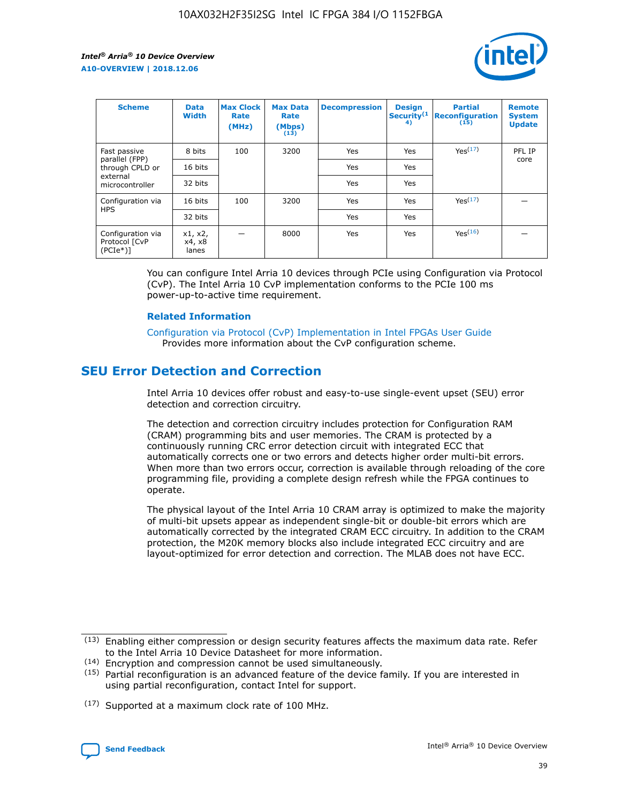

| <b>Scheme</b>                                   | <b>Data</b><br><b>Width</b> | <b>Max Clock</b><br>Rate<br>(MHz) | <b>Max Data</b><br>Rate<br>(Mbps)<br>(13) | <b>Decompression</b> | <b>Design</b><br>Security <sup>(1</sup><br>4) | <b>Partial</b><br><b>Reconfiguration</b><br>(15) | <b>Remote</b><br><b>System</b><br><b>Update</b> |
|-------------------------------------------------|-----------------------------|-----------------------------------|-------------------------------------------|----------------------|-----------------------------------------------|--------------------------------------------------|-------------------------------------------------|
| Fast passive                                    | 8 bits                      | 100                               | 3200                                      | Yes                  | Yes                                           | Yes(17)                                          | PFL IP                                          |
| parallel (FPP)<br>through CPLD or               | 16 bits                     |                                   |                                           | Yes                  | Yes                                           |                                                  | core                                            |
| external<br>microcontroller                     | 32 bits                     |                                   |                                           | Yes                  | Yes                                           |                                                  |                                                 |
| Configuration via                               | 16 bits                     | 100                               | 3200                                      | Yes                  | Yes                                           | Yes <sup>(17)</sup>                              |                                                 |
| <b>HPS</b>                                      | 32 bits                     |                                   |                                           | Yes                  | Yes                                           |                                                  |                                                 |
| Configuration via<br>Protocol [CvP<br>$(PCIe*)$ | x1, x2,<br>x4, x8<br>lanes  |                                   | 8000                                      | Yes                  | Yes                                           | Yes <sup>(16)</sup>                              |                                                 |

You can configure Intel Arria 10 devices through PCIe using Configuration via Protocol (CvP). The Intel Arria 10 CvP implementation conforms to the PCIe 100 ms power-up-to-active time requirement.

#### **Related Information**

[Configuration via Protocol \(CvP\) Implementation in Intel FPGAs User Guide](https://www.intel.com/content/www/us/en/programmable/documentation/dsu1441819344145.html#dsu1442269728522) Provides more information about the CvP configuration scheme.

# **SEU Error Detection and Correction**

Intel Arria 10 devices offer robust and easy-to-use single-event upset (SEU) error detection and correction circuitry.

The detection and correction circuitry includes protection for Configuration RAM (CRAM) programming bits and user memories. The CRAM is protected by a continuously running CRC error detection circuit with integrated ECC that automatically corrects one or two errors and detects higher order multi-bit errors. When more than two errors occur, correction is available through reloading of the core programming file, providing a complete design refresh while the FPGA continues to operate.

The physical layout of the Intel Arria 10 CRAM array is optimized to make the majority of multi-bit upsets appear as independent single-bit or double-bit errors which are automatically corrected by the integrated CRAM ECC circuitry. In addition to the CRAM protection, the M20K memory blocks also include integrated ECC circuitry and are layout-optimized for error detection and correction. The MLAB does not have ECC.

(14) Encryption and compression cannot be used simultaneously.

<sup>(17)</sup> Supported at a maximum clock rate of 100 MHz.



 $(13)$  Enabling either compression or design security features affects the maximum data rate. Refer to the Intel Arria 10 Device Datasheet for more information.

 $(15)$  Partial reconfiguration is an advanced feature of the device family. If you are interested in using partial reconfiguration, contact Intel for support.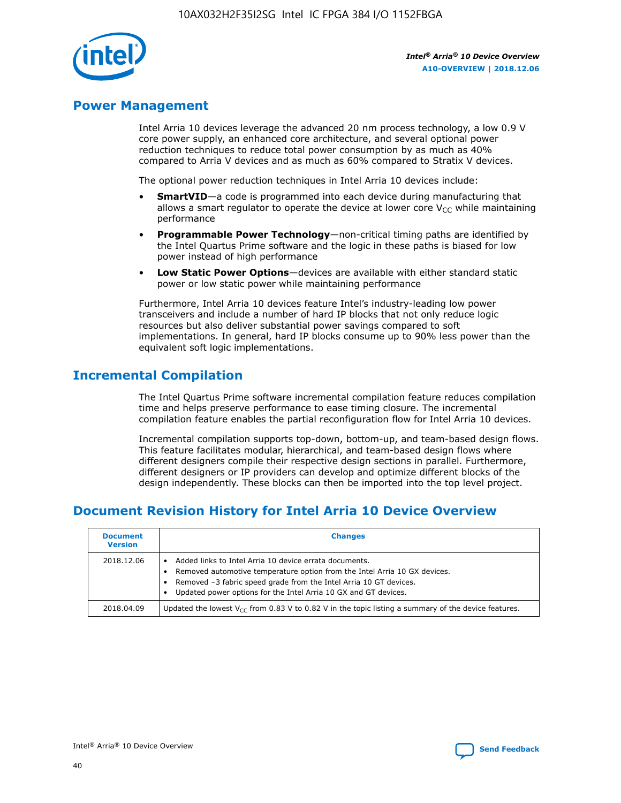

## **Power Management**

Intel Arria 10 devices leverage the advanced 20 nm process technology, a low 0.9 V core power supply, an enhanced core architecture, and several optional power reduction techniques to reduce total power consumption by as much as 40% compared to Arria V devices and as much as 60% compared to Stratix V devices.

The optional power reduction techniques in Intel Arria 10 devices include:

- **SmartVID**—a code is programmed into each device during manufacturing that allows a smart regulator to operate the device at lower core  $V_{CC}$  while maintaining performance
- **Programmable Power Technology**—non-critical timing paths are identified by the Intel Quartus Prime software and the logic in these paths is biased for low power instead of high performance
- **Low Static Power Options**—devices are available with either standard static power or low static power while maintaining performance

Furthermore, Intel Arria 10 devices feature Intel's industry-leading low power transceivers and include a number of hard IP blocks that not only reduce logic resources but also deliver substantial power savings compared to soft implementations. In general, hard IP blocks consume up to 90% less power than the equivalent soft logic implementations.

# **Incremental Compilation**

The Intel Quartus Prime software incremental compilation feature reduces compilation time and helps preserve performance to ease timing closure. The incremental compilation feature enables the partial reconfiguration flow for Intel Arria 10 devices.

Incremental compilation supports top-down, bottom-up, and team-based design flows. This feature facilitates modular, hierarchical, and team-based design flows where different designers compile their respective design sections in parallel. Furthermore, different designers or IP providers can develop and optimize different blocks of the design independently. These blocks can then be imported into the top level project.

# **Document Revision History for Intel Arria 10 Device Overview**

| <b>Document</b><br><b>Version</b> | <b>Changes</b>                                                                                                                                                                                                                                                              |
|-----------------------------------|-----------------------------------------------------------------------------------------------------------------------------------------------------------------------------------------------------------------------------------------------------------------------------|
| 2018.12.06                        | Added links to Intel Arria 10 device errata documents.<br>Removed automotive temperature option from the Intel Arria 10 GX devices.<br>Removed -3 fabric speed grade from the Intel Arria 10 GT devices.<br>Updated power options for the Intel Arria 10 GX and GT devices. |
| 2018.04.09                        | Updated the lowest $V_{CC}$ from 0.83 V to 0.82 V in the topic listing a summary of the device features.                                                                                                                                                                    |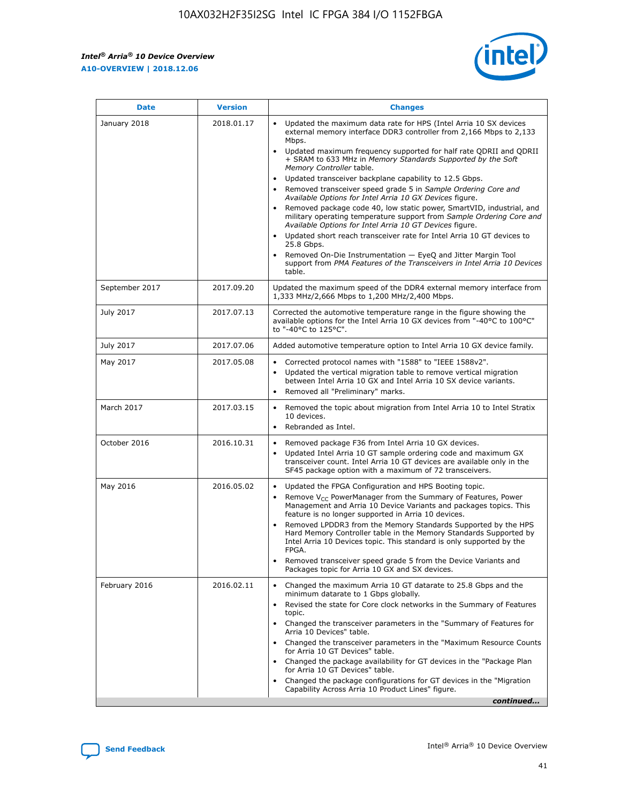*Intel® Arria® 10 Device Overview* **A10-OVERVIEW | 2018.12.06**



| <b>Date</b>    | <b>Version</b> | <b>Changes</b>                                                                                                                                                                                                                                                                                                                                                                                                                                                                                                                                                                                                                                                                                                                                                                                                                                                                                                                                                            |
|----------------|----------------|---------------------------------------------------------------------------------------------------------------------------------------------------------------------------------------------------------------------------------------------------------------------------------------------------------------------------------------------------------------------------------------------------------------------------------------------------------------------------------------------------------------------------------------------------------------------------------------------------------------------------------------------------------------------------------------------------------------------------------------------------------------------------------------------------------------------------------------------------------------------------------------------------------------------------------------------------------------------------|
| January 2018   | 2018.01.17     | Updated the maximum data rate for HPS (Intel Arria 10 SX devices<br>external memory interface DDR3 controller from 2,166 Mbps to 2,133<br>Mbps.<br>Updated maximum frequency supported for half rate QDRII and QDRII<br>+ SRAM to 633 MHz in Memory Standards Supported by the Soft<br>Memory Controller table.<br>Updated transceiver backplane capability to 12.5 Gbps.<br>$\bullet$<br>Removed transceiver speed grade 5 in Sample Ordering Core and<br>Available Options for Intel Arria 10 GX Devices figure.<br>Removed package code 40, low static power, SmartVID, industrial, and<br>military operating temperature support from Sample Ordering Core and<br>Available Options for Intel Arria 10 GT Devices figure.<br>Updated short reach transceiver rate for Intel Arria 10 GT devices to<br>25.8 Gbps.<br>Removed On-Die Instrumentation - EyeQ and Jitter Margin Tool<br>support from PMA Features of the Transceivers in Intel Arria 10 Devices<br>table. |
| September 2017 | 2017.09.20     | Updated the maximum speed of the DDR4 external memory interface from<br>1,333 MHz/2,666 Mbps to 1,200 MHz/2,400 Mbps.                                                                                                                                                                                                                                                                                                                                                                                                                                                                                                                                                                                                                                                                                                                                                                                                                                                     |
| July 2017      | 2017.07.13     | Corrected the automotive temperature range in the figure showing the<br>available options for the Intel Arria 10 GX devices from "-40°C to 100°C"<br>to "-40°C to 125°C".                                                                                                                                                                                                                                                                                                                                                                                                                                                                                                                                                                                                                                                                                                                                                                                                 |
| July 2017      | 2017.07.06     | Added automotive temperature option to Intel Arria 10 GX device family.                                                                                                                                                                                                                                                                                                                                                                                                                                                                                                                                                                                                                                                                                                                                                                                                                                                                                                   |
| May 2017       | 2017.05.08     | Corrected protocol names with "1588" to "IEEE 1588v2".<br>Updated the vertical migration table to remove vertical migration<br>between Intel Arria 10 GX and Intel Arria 10 SX device variants.<br>Removed all "Preliminary" marks.                                                                                                                                                                                                                                                                                                                                                                                                                                                                                                                                                                                                                                                                                                                                       |
| March 2017     | 2017.03.15     | Removed the topic about migration from Intel Arria 10 to Intel Stratix<br>10 devices.<br>Rebranded as Intel.<br>$\bullet$                                                                                                                                                                                                                                                                                                                                                                                                                                                                                                                                                                                                                                                                                                                                                                                                                                                 |
| October 2016   | 2016.10.31     | Removed package F36 from Intel Arria 10 GX devices.<br>Updated Intel Arria 10 GT sample ordering code and maximum GX<br>$\bullet$<br>transceiver count. Intel Arria 10 GT devices are available only in the<br>SF45 package option with a maximum of 72 transceivers.                                                                                                                                                                                                                                                                                                                                                                                                                                                                                                                                                                                                                                                                                                     |
| May 2016       | 2016.05.02     | Updated the FPGA Configuration and HPS Booting topic.<br>Remove V <sub>CC</sub> PowerManager from the Summary of Features, Power<br>Management and Arria 10 Device Variants and packages topics. This<br>feature is no longer supported in Arria 10 devices.<br>Removed LPDDR3 from the Memory Standards Supported by the HPS<br>Hard Memory Controller table in the Memory Standards Supported by<br>Intel Arria 10 Devices topic. This standard is only supported by the<br>FPGA.<br>Removed transceiver speed grade 5 from the Device Variants and<br>Packages topic for Arria 10 GX and SX devices.                                                                                                                                                                                                                                                                                                                                                                   |
| February 2016  | 2016.02.11     | Changed the maximum Arria 10 GT datarate to 25.8 Gbps and the<br>minimum datarate to 1 Gbps globally.<br>Revised the state for Core clock networks in the Summary of Features<br>$\bullet$<br>topic.<br>Changed the transceiver parameters in the "Summary of Features for<br>Arria 10 Devices" table.<br>• Changed the transceiver parameters in the "Maximum Resource Counts<br>for Arria 10 GT Devices" table.<br>• Changed the package availability for GT devices in the "Package Plan<br>for Arria 10 GT Devices" table.<br>Changed the package configurations for GT devices in the "Migration"<br>Capability Across Arria 10 Product Lines" figure.<br>continued                                                                                                                                                                                                                                                                                                  |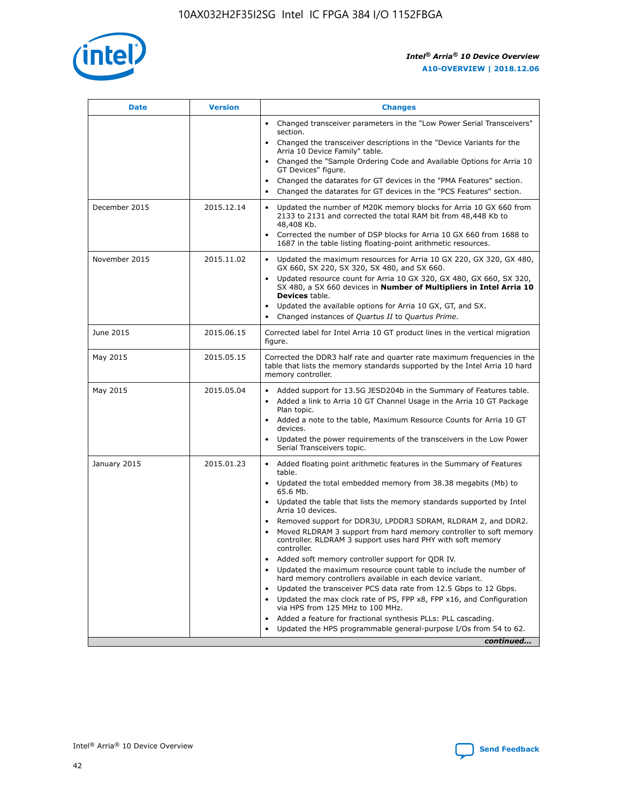

| <b>Date</b>   | <b>Version</b> | <b>Changes</b>                                                                                                                                                                   |
|---------------|----------------|----------------------------------------------------------------------------------------------------------------------------------------------------------------------------------|
|               |                | • Changed transceiver parameters in the "Low Power Serial Transceivers"<br>section.                                                                                              |
|               |                | • Changed the transceiver descriptions in the "Device Variants for the<br>Arria 10 Device Family" table.                                                                         |
|               |                | Changed the "Sample Ordering Code and Available Options for Arria 10<br>GT Devices" figure.                                                                                      |
|               |                | Changed the datarates for GT devices in the "PMA Features" section.                                                                                                              |
|               |                | Changed the datarates for GT devices in the "PCS Features" section.<br>$\bullet$                                                                                                 |
| December 2015 | 2015.12.14     | Updated the number of M20K memory blocks for Arria 10 GX 660 from<br>$\bullet$<br>2133 to 2131 and corrected the total RAM bit from 48,448 Kb to<br>48,408 Kb.                   |
|               |                | Corrected the number of DSP blocks for Arria 10 GX 660 from 1688 to<br>$\bullet$<br>1687 in the table listing floating-point arithmetic resources.                               |
| November 2015 | 2015.11.02     | Updated the maximum resources for Arria 10 GX 220, GX 320, GX 480,<br>$\bullet$<br>GX 660, SX 220, SX 320, SX 480, and SX 660.                                                   |
|               |                | Updated resource count for Arria 10 GX 320, GX 480, GX 660, SX 320,<br>$\bullet$<br>SX 480, a SX 660 devices in Number of Multipliers in Intel Arria 10<br><b>Devices</b> table. |
|               |                | Updated the available options for Arria 10 GX, GT, and SX.<br>$\bullet$                                                                                                          |
|               |                | Changed instances of Quartus II to Quartus Prime.<br>$\bullet$                                                                                                                   |
| June 2015     | 2015.06.15     | Corrected label for Intel Arria 10 GT product lines in the vertical migration<br>figure.                                                                                         |
| May 2015      | 2015.05.15     | Corrected the DDR3 half rate and quarter rate maximum frequencies in the<br>table that lists the memory standards supported by the Intel Arria 10 hard<br>memory controller.     |
| May 2015      | 2015.05.04     | • Added support for 13.5G JESD204b in the Summary of Features table.<br>• Added a link to Arria 10 GT Channel Usage in the Arria 10 GT Package<br>Plan topic.                    |
|               |                | • Added a note to the table, Maximum Resource Counts for Arria 10 GT<br>devices.                                                                                                 |
|               |                | Updated the power requirements of the transceivers in the Low Power<br>Serial Transceivers topic.                                                                                |
| January 2015  | 2015.01.23     | • Added floating point arithmetic features in the Summary of Features<br>table.                                                                                                  |
|               |                | • Updated the total embedded memory from 38.38 megabits (Mb) to<br>65.6 Mb.                                                                                                      |
|               |                | • Updated the table that lists the memory standards supported by Intel<br>Arria 10 devices.                                                                                      |
|               |                | Removed support for DDR3U, LPDDR3 SDRAM, RLDRAM 2, and DDR2.                                                                                                                     |
|               |                | Moved RLDRAM 3 support from hard memory controller to soft memory<br>controller. RLDRAM 3 support uses hard PHY with soft memory<br>controller.                                  |
|               |                | Added soft memory controller support for QDR IV.                                                                                                                                 |
|               |                | Updated the maximum resource count table to include the number of<br>hard memory controllers available in each device variant.                                                   |
|               |                | Updated the transceiver PCS data rate from 12.5 Gbps to 12 Gbps.<br>$\bullet$                                                                                                    |
|               |                | Updated the max clock rate of PS, FPP x8, FPP x16, and Configuration<br>via HPS from 125 MHz to 100 MHz.                                                                         |
|               |                | Added a feature for fractional synthesis PLLs: PLL cascading.                                                                                                                    |
|               |                | Updated the HPS programmable general-purpose I/Os from 54 to 62.                                                                                                                 |
|               |                | continued                                                                                                                                                                        |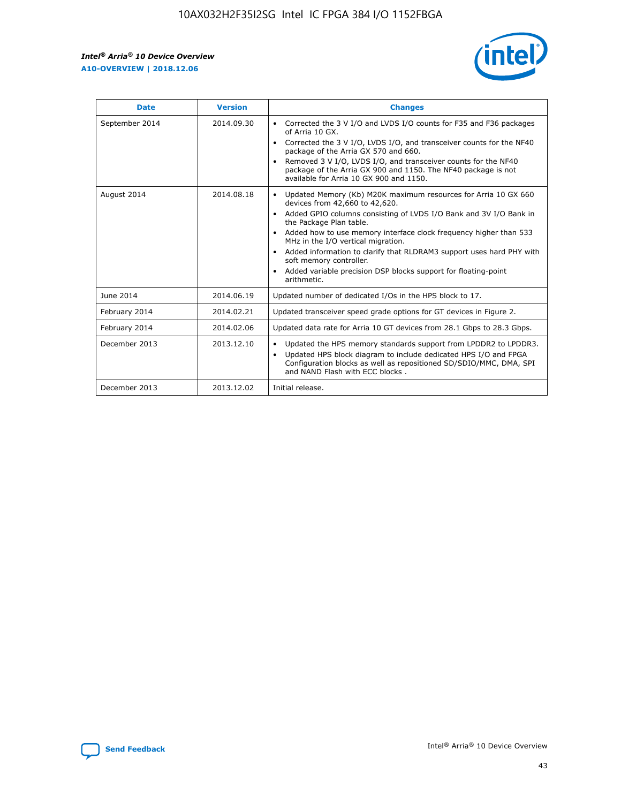r



| <b>Date</b>    | <b>Version</b> | <b>Changes</b>                                                                                                                                                                                                                                                                                                                                                                                                                                                                                                                         |
|----------------|----------------|----------------------------------------------------------------------------------------------------------------------------------------------------------------------------------------------------------------------------------------------------------------------------------------------------------------------------------------------------------------------------------------------------------------------------------------------------------------------------------------------------------------------------------------|
| September 2014 | 2014.09.30     | Corrected the 3 V I/O and LVDS I/O counts for F35 and F36 packages<br>of Arria 10 GX.<br>Corrected the 3 V I/O, LVDS I/O, and transceiver counts for the NF40<br>$\bullet$<br>package of the Arria GX 570 and 660.<br>Removed 3 V I/O, LVDS I/O, and transceiver counts for the NF40<br>package of the Arria GX 900 and 1150. The NF40 package is not<br>available for Arria 10 GX 900 and 1150.                                                                                                                                       |
| August 2014    | 2014.08.18     | Updated Memory (Kb) M20K maximum resources for Arria 10 GX 660<br>devices from 42,660 to 42,620.<br>Added GPIO columns consisting of LVDS I/O Bank and 3V I/O Bank in<br>$\bullet$<br>the Package Plan table.<br>Added how to use memory interface clock frequency higher than 533<br>$\bullet$<br>MHz in the I/O vertical migration.<br>Added information to clarify that RLDRAM3 support uses hard PHY with<br>$\bullet$<br>soft memory controller.<br>Added variable precision DSP blocks support for floating-point<br>arithmetic. |
| June 2014      | 2014.06.19     | Updated number of dedicated I/Os in the HPS block to 17.                                                                                                                                                                                                                                                                                                                                                                                                                                                                               |
| February 2014  | 2014.02.21     | Updated transceiver speed grade options for GT devices in Figure 2.                                                                                                                                                                                                                                                                                                                                                                                                                                                                    |
| February 2014  | 2014.02.06     | Updated data rate for Arria 10 GT devices from 28.1 Gbps to 28.3 Gbps.                                                                                                                                                                                                                                                                                                                                                                                                                                                                 |
| December 2013  | 2013.12.10     | Updated the HPS memory standards support from LPDDR2 to LPDDR3.<br>Updated HPS block diagram to include dedicated HPS I/O and FPGA<br>$\bullet$<br>Configuration blocks as well as repositioned SD/SDIO/MMC, DMA, SPI<br>and NAND Flash with ECC blocks.                                                                                                                                                                                                                                                                               |
| December 2013  | 2013.12.02     | Initial release.                                                                                                                                                                                                                                                                                                                                                                                                                                                                                                                       |